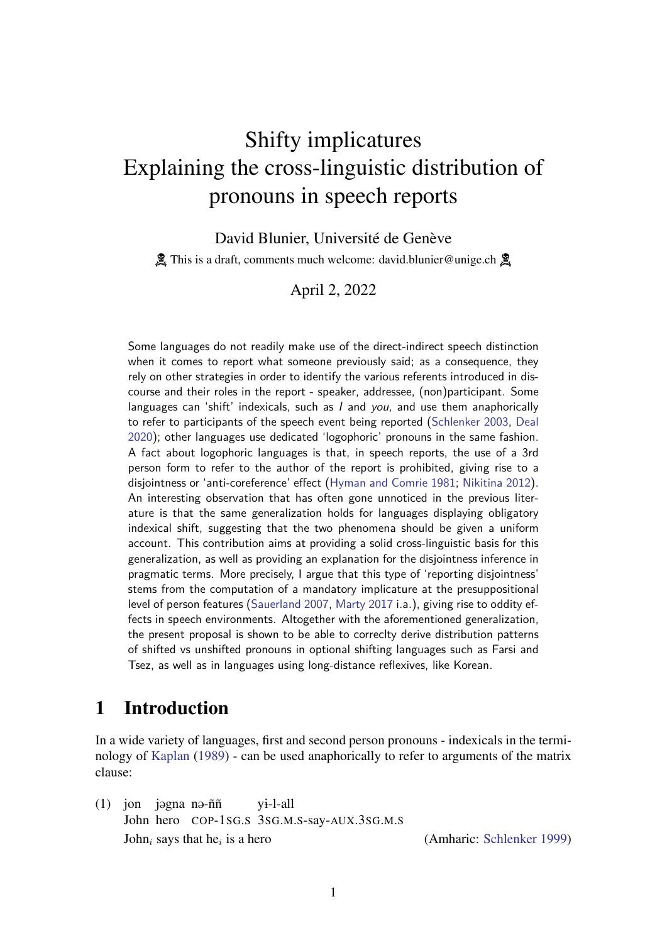# <span id="page-0-1"></span>Shifty implicatures Explaining the cross-linguistic distribution of pronouns in speech reports

David Blunier, Université de Genève

**A** This is a draft, comments much welcome: david.blunier@unige.ch  $\mathbb{A}$ 

April 2, 2022

Some languages do not readily make use of the direct-indirect speech distinction when it comes to report what someone previously said; as a consequence, they rely on other strategies in order to identify the various referents introduced in discourse and their roles in the report - speaker, addressee, (non)participant. Some languages can 'shift' indexicals, such as *l* and you, and use them anaphorically to refer to participants of the speech event being reported [\(Schlenker](#page-26-0) [2003,](#page-26-0) [Deal](#page-24-0) [2020\)](#page-24-0); other languages use dedicated 'logophoric' pronouns in the same fashion. A fact about logophoric languages is that, in speech reports, the use of a 3rd person form to refer to the author of the report is prohibited, giving rise to a disjointness or 'anti-coreference' effect [\(Hyman and Comrie](#page-25-0) [1981;](#page-25-0) [Nikitina](#page-26-1) [2012\)](#page-26-1). An interesting observation that has often gone unnoticed in the previous literature is that the same generalization holds for languages displaying obligatory indexical shift, suggesting that the two phenomena should be given a uniform account. This contribution aims at providing a solid cross-linguistic basis for this generalization, as well as providing an explanation for the disjointness inference in pragmatic terms. More precisely, I argue that this type of 'reporting disjointness' stems from the computation of a mandatory implicature at the presuppositional level of person features [\(Sauerland](#page-26-2) [2007,](#page-26-2) [Marty](#page-25-1) [2017](#page-25-1) i.a.), giving rise to oddity effects in speech environments. Altogether with the aforementioned generalization, the present proposal is shown to be able to correclty derive distribution patterns of shifted vs unshifted pronouns in optional shifting languages such as Farsi and Tsez, as well as in languages using long-distance reflexives, like Korean.

## <span id="page-0-0"></span>1 Introduction

In a wide variety of languages, first and second person pronouns - indexicals in the terminology of [Kaplan](#page-25-2) [\(1989\)](#page-25-2) - can be used anaphorically to refer to arguments of the matrix clause:

 $(1)$  jon jəgna nə-ññ John hero COP-1SG.S 3SG.M.S-say-AUX.3SG.M.S y1-l-all John<sub>i</sub> says that he<sub>i</sub> is a hero

(Amharic: [Schlenker](#page-26-3) [1999\)](#page-26-3)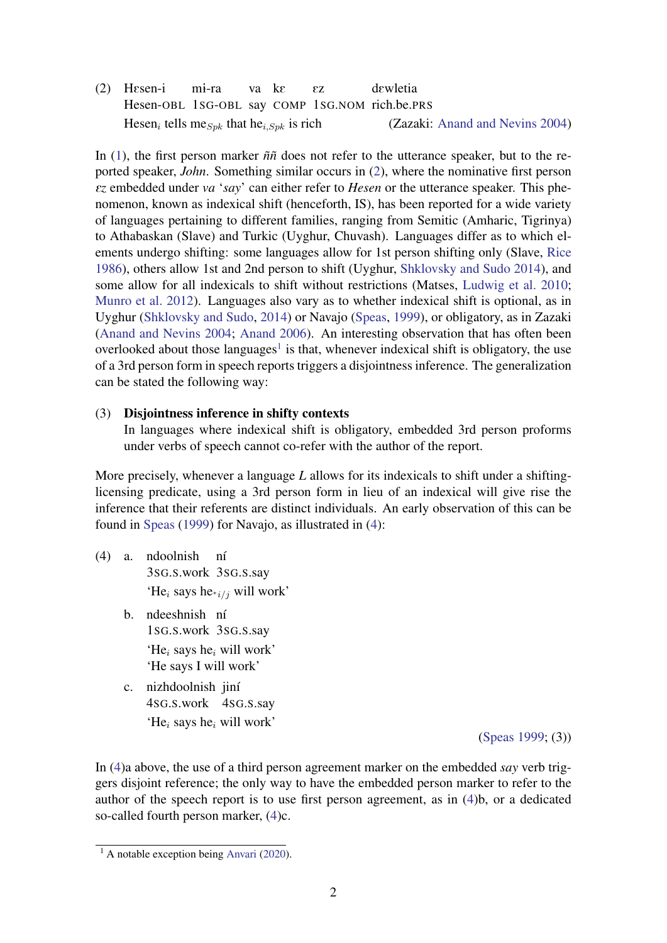(2) HEsen-i Hesen-OBL 1SG-OBL say COMP 1SG.NOM rich.be.PRS  $m<sub>i</sub>$ -ra va kE Ez dewletia Hesen<sub>i</sub> tells me<sub>Spk</sub> that he<sub>i,Spk</sub> is rich (Zazaki: [Anand and Nevins](#page-24-1) [2004\)](#page-24-1)

In [\(1\)](#page-0-0), the first person marker *ññ* does not refer to the utterance speaker, but to the reported speaker, *John*. Something similar occurs in [\(2\)](#page-0-0), where the nominative first person E*z* embedded under *va* '*say*' can either refer to *Hesen* or the utterance speaker. This phenomenon, known as indexical shift (henceforth, IS), has been reported for a wide variety of languages pertaining to different families, ranging from Semitic (Amharic, Tigrinya) to Athabaskan (Slave) and Turkic (Uyghur, Chuvash). Languages differ as to which elements undergo shifting: some languages allow for 1st person shifting only (Slave, [Rice](#page-26-4) [1986\)](#page-26-4), others allow 1st and 2nd person to shift (Uyghur, [Shklovsky and Sudo](#page-27-0) [2014\)](#page-27-0), and some allow for all indexicals to shift without restrictions (Matses, [Ludwig et al.](#page-25-3) [2010;](#page-25-3) [Munro et al.](#page-26-5) [2012\)](#page-26-5). Languages also vary as to whether indexical shift is optional, as in Uyghur [\(Shklovsky and Sudo,](#page-27-0) [2014\)](#page-27-0) or Navajo [\(Speas,](#page-27-1) [1999\)](#page-27-1), or obligatory, as in Zazaki [\(Anand and Nevins](#page-24-1) [2004;](#page-24-1) [Anand](#page-24-2) [2006\)](#page-24-2). An interesting observation that has often been overlooked about those languages<sup>[1](#page-0-1)</sup> is that, whenever indexical shift is obligatory, the use of a 3rd person form in speech reports triggers a disjointness inference. The generalization can be stated the following way:

### (3) Disjointness inference in shifty contexts

In languages where indexical shift is obligatory, embedded 3rd person proforms under verbs of speech cannot co-refer with the author of the report.

More precisely, whenever a language *L* allows for its indexicals to shift under a shiftinglicensing predicate, using a 3rd person form in lieu of an indexical will give rise the inference that their referents are distinct individuals. An early observation of this can be found in [Speas](#page-27-1) [\(1999\)](#page-27-1) for Navajo, as illustrated in [\(4\)](#page-0-0):

- (4) a. ndoolnish 3SG.S.work 3SG.S.say ní 'He<sub>i</sub> says he<sub>\*i/j</sub> will work'
	- b. ndeeshnish ní 1SG.S.work 3SG.S.say 'He<sub>i</sub> says he<sub>i</sub> will work' 'He says I will work'
	- c. nizhdoolnish jiní 4SG.S.work 4SG.S.say 'He<sub>i</sub> says he<sub>i</sub> will work'

[\(Speas](#page-27-1) [1999;](#page-27-1) (3))

In [\(4\)](#page-0-0)a above, the use of a third person agreement marker on the embedded *say* verb triggers disjoint reference; the only way to have the embedded person marker to refer to the author of the speech report is to use first person agreement, as in [\(4\)](#page-0-0)b, or a dedicated so-called fourth person marker, [\(4\)](#page-0-0)c.

 $\frac{1}{1}$  A notable exception being [Anvari](#page-24-3) [\(2020\)](#page-24-3).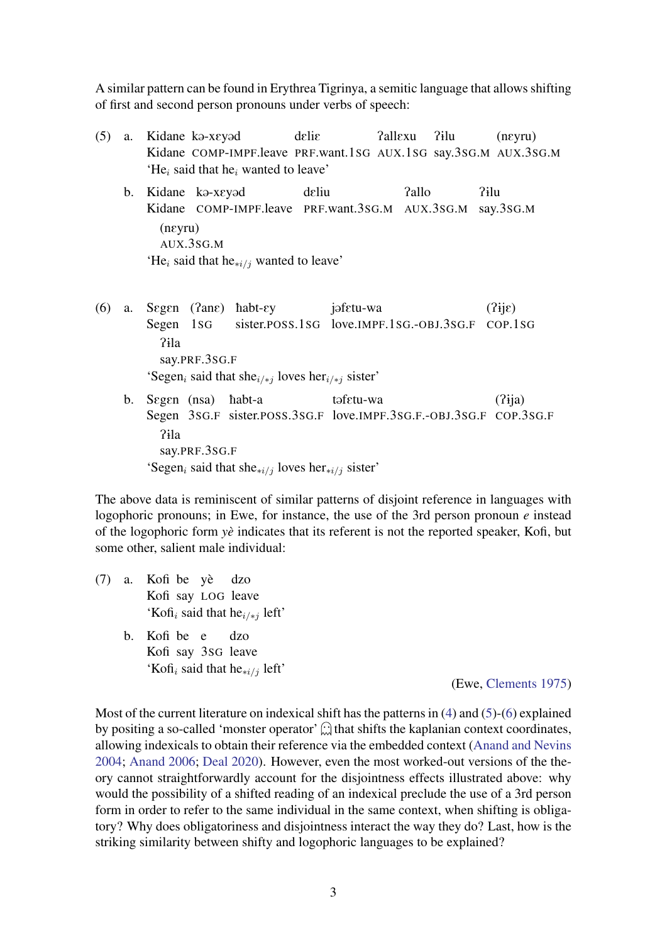A similar pattern can be found in Erythrea Tigrinya, a semitic language that allows shifting of first and second person pronouns under verbs of speech:

- (5) a. Kidane k@-xEy@d Kidane COMP-IMPF.leave PRF.want.1SG AUX.1SG say.3SG.M AUX.3SG.M delie PallExu P1lu (nEyru)  $'He_i$  said that he<sub>i</sub> wanted to leave'
	- b. Kidane ka-xeyad Kidane COMP-IMPF.leave PRF.want.3SG.M AUX.3SG.M dEliu Pallo P1lu say.3SG.M (nEyru) AUX.3SG.M 'He<sub>i</sub> said that he<sub>∗i/j</sub> wanted to leave'
- (6) a. SEgEn (PanE) èabt-Ey Segen 1SG sister.POSS.1SG love.IMPF.1SG.-OBJ.3SG.F COP.1SG jafetu-wa  $(3$ ji $\varepsilon)$ P1la say.PRF.3SG.F 'Segen<sub>i</sub> said that she<sub>i/\*j</sub> loves her<sub>i/\*j</sub> sister' b. Segen (nsa) habt-a tafetu-wa  $(2$ ija)
	- Segen 3sG.F sister.POSS.3SG.F love.IMPF.3SG.F.-OBJ.3SG.F COP.3SG.F P1la say.PRF.3SG.F 'Segen<sub>i</sub> said that she<sub>\*i/j</sub> loves her<sub>\*i/j</sub> sister'

The above data is reminiscent of similar patterns of disjoint reference in languages with logophoric pronouns; in Ewe, for instance, the use of the 3rd person pronoun *e* instead of the logophoric form *yè* indicates that its referent is not the reported speaker, Kofi, but some other, salient male individual:

- (7) a. Kofi be yè Kofi say LOG leave dzo 'Kofi<sub>i</sub> said that he<sub>i/\*j</sub> left'
	- b. Kofi be e Kofi say 3SG leave dzo 'Kofi<sub>i</sub> said that he<sub>∗i/j</sub> left'

(Ewe, [Clements](#page-24-4) [1975\)](#page-24-4)

Most of the current literature on indexical shift has the patterns in [\(4\)](#page-0-0) and [\(5\)](#page-0-0)-[\(6\)](#page-0-0) explained by positing a so-called 'monster operator'  $\hat{\omega}$  that shifts the kaplanian context coordinates, allowing indexicals to obtain their reference via the embedded context [\(Anand and Nevins](#page-24-1) [2004;](#page-24-1) [Anand](#page-24-2) [2006;](#page-24-2) [Deal](#page-24-0) [2020\)](#page-24-0). However, even the most worked-out versions of the theory cannot straightforwardly account for the disjointness effects illustrated above: why would the possibility of a shifted reading of an indexical preclude the use of a 3rd person form in order to refer to the same individual in the same context, when shifting is obligatory? Why does obligatoriness and disjointness interact the way they do? Last, how is the striking similarity between shifty and logophoric languages to be explained?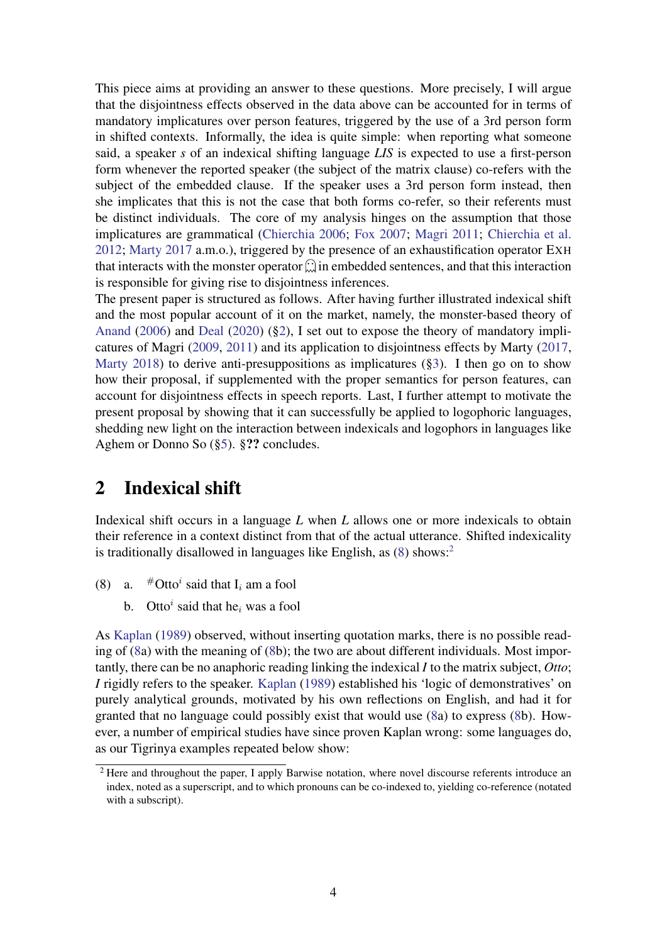This piece aims at providing an answer to these questions. More precisely, I will argue that the disjointness effects observed in the data above can be accounted for in terms of mandatory implicatures over person features, triggered by the use of a 3rd person form in shifted contexts. Informally, the idea is quite simple: when reporting what someone said, a speaker *s* of an indexical shifting language *LIS* is expected to use a first-person form whenever the reported speaker (the subject of the matrix clause) co-refers with the subject of the embedded clause. If the speaker uses a 3rd person form instead, then she implicates that this is not the case that both forms co-refer, so their referents must be distinct individuals. The core of my analysis hinges on the assumption that those implicatures are grammatical [\(Chierchia](#page-24-5) [2006;](#page-24-5) [Fox](#page-24-6) [2007;](#page-24-6) [Magri](#page-25-4) [2011;](#page-25-4) [Chierchia et al.](#page-24-7) [2012;](#page-24-7) [Marty](#page-25-1) [2017](#page-25-1) a.m.o.), triggered by the presence of an exhaustification operator EXH that interacts with the monster operator  $\hat{\omega}$  in embedded sentences, and that this interaction is responsible for giving rise to disjointness inferences.

The present paper is structured as follows. After having further illustrated indexical shift and the most popular account of it on the market, namely, the monster-based theory of [Anand](#page-24-2) [\(2006\)](#page-24-2) and [Deal](#page-24-0) [\(2020\)](#page-24-0) ([§2\)](#page-3-0), I set out to expose the theory of mandatory implicatures of Magri [\(2009,](#page-25-5) [2011\)](#page-25-4) and its application to disjointness effects by Marty [\(2017,](#page-25-1) [Marty](#page-26-6) [2018\)](#page-26-6) to derive anti-presuppositions as implicatures ([§3\)](#page-5-0). I then go on to show how their proposal, if supplemented with the proper semantics for person features, can account for disjointness effects in speech reports. Last, I further attempt to motivate the present proposal by showing that it can successfully be applied to logophoric languages, shedding new light on the interaction between indexicals and logophors in languages like Aghem or Donno So ([§5\)](#page-15-0). §?? concludes.

# <span id="page-3-0"></span>2 Indexical shift

Indexical shift occurs in a language *L* when *L* allows one or more indexicals to obtain their reference in a context distinct from that of the actual utterance. Shifted indexicality is traditionally disallowed in languages like English, as  $(8)$  shows:<sup>[2](#page-0-1)</sup>

- (8) a.  $\#$ Otto<sup>*i*</sup> said that I<sub>i</sub> am a fool
	- b. Otto<sup>*i*</sup> said that he<sub>i</sub> was a fool

As [Kaplan](#page-25-2) [\(1989\)](#page-25-2) observed, without inserting quotation marks, there is no possible reading of [\(8a](#page-3-0)) with the meaning of [\(8b](#page-3-0)); the two are about different individuals. Most importantly, there can be no anaphoric reading linking the indexical *I* to the matrix subject, *Otto*; *I* rigidly refers to the speaker. [Kaplan](#page-25-2) [\(1989\)](#page-25-2) established his 'logic of demonstratives' on purely analytical grounds, motivated by his own reflections on English, and had it for granted that no language could possibly exist that would use [\(8a](#page-3-0)) to express [\(8b](#page-3-0)). However, a number of empirical studies have since proven Kaplan wrong: some languages do, as our Tigrinya examples repeated below show:

 $\frac{2}{3}$  Here and throughout the paper, I apply Barwise notation, where novel discourse referents introduce an index, noted as a superscript, and to which pronouns can be co-indexed to, yielding co-reference (notated with a subscript).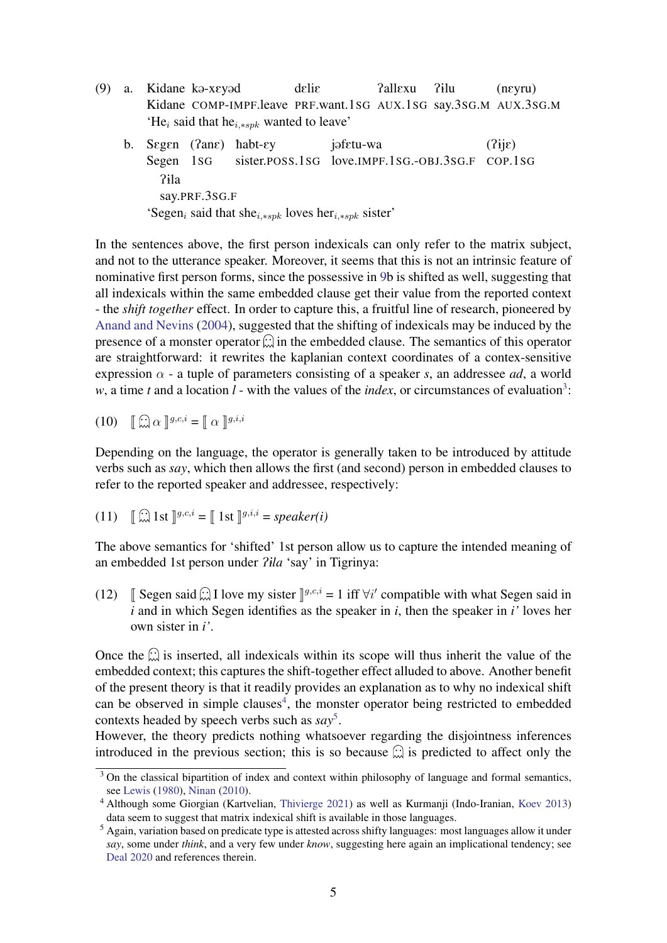- (9) a. Kidane ka-xeyad Kidane COMP-IMPF.leave PRF.want.1SG AUX.1SG say.3SG.M AUX.3SG.M delie PallExu ?ilu (nEyru) 'He<sub>i</sub> said that he<sub>i,\*spk</sub> wanted to leave'
	- b. Segen (?ane) habt-ey Segen 1SG sister.POSS.1SG love.IMPF.1SG.-OBJ.3SG.F COP.1SG jafetu-wa  $(2ii\varepsilon)$ P1la say.PRF.3SG.F 'Segen<sub>i</sub> said that she<sub>i,\*spk</sub> loves her<sub>i,\*spk</sub> sister'

In the sentences above, the first person indexicals can only refer to the matrix subject, and not to the utterance speaker. Moreover, it seems that this is not an intrinsic feature of nominative first person forms, since the possessive in [9b](#page-3-0) is shifted as well, suggesting that all indexicals within the same embedded clause get their value from the reported context - the *shift together* effect. In order to capture this, a fruitful line of research, pioneered by [Anand and Nevins](#page-24-1) [\(2004\)](#page-24-1), suggested that the shifting of indexicals may be induced by the presence of a monster operator  $\hat{\omega}$  in the embedded clause. The semantics of this operator are straightforward: it rewrites the kaplanian context coordinates of a contex-sensitive expression  $\alpha$  - a tuple of parameters consisting of a speaker *s*, an addressee *ad*, a world w, a time *t* and a location *l* - with the values of the *index*, or circumstances of evaluation<sup>[3](#page-0-1)</sup>:

$$
(10) \quad \left[\begin{array}{c} \widehat{\mathbf{w}} \ \alpha \end{array}\right]^{g,c,i} = \left[\begin{array}{c} \alpha \end{array}\right]^{g,i,i}
$$

Depending on the language, the operator is generally taken to be introduced by attitude verbs such as *say*, which then allows the first (and second) person in embedded clauses to refer to the reported speaker and addressee, respectively:

(11) 
$$
\left[\begin{matrix}\widehat{...}\\ \widehat{...}\end{matrix}\right]
$$
 1st 
$$
\left[\begin{matrix}g,c,i\\ \widehat{...}\end{matrix}\right]
$$
 1st 
$$
\left[\begin{matrix}g,i,i\\ \widehat{...}\end{matrix}\right]
$$
 = *speaker(i)*

The above semantics for 'shifted' 1st person allow us to capture the intended meaning of an embedded 1st person under *Pila* 'say' in Tigrinya:

(12) J Segen said  $\hat{\omega}$  I love my sister  $\mathbb{J}^{g,c,i} = 1$  iff  $\forall i'$  compatible with what Segen said in *i* and in which Segen identifies as the speaker in *i*, then the speaker in *i'* loves her own sister in *i'*.

Once the  $\hat{\omega}$  is inserted, all indexicals within its scope will thus inherit the value of the embedded context; this captures the shift-together effect alluded to above. Another benefit of the present theory is that it readily provides an explanation as to why no indexical shift can be observed in simple clauses<sup>[4](#page-0-1)</sup>, the monster operator being restricted to embedded contexts headed by speech verbs such as *say*[5](#page-0-1) .

However, the theory predicts nothing whatsoever regarding the disjointness inferences introduced in the previous section; this is so because  $\hat{\omega}$  is predicted to affect only the

 $3$  On the classical bipartition of index and context within philosophy of language and formal semantics, see [Lewis](#page-25-6) [\(1980\)](#page-25-6), [Ninan](#page-26-7) [\(2010\)](#page-26-7).

<sup>4</sup> Although some Giorgian (Kartvelian, [Thivierge](#page-27-2) [2021\)](#page-27-2) as well as Kurmanji (Indo-Iranian, [Koev](#page-25-7) [2013\)](#page-25-7) data seem to suggest that matrix indexical shift is available in those languages.

<sup>5</sup> Again, variation based on predicate type is attested across shifty languages: most languages allow it under *say*, some under *think*, and a very few under *know*, suggesting here again an implicational tendency; see [Deal](#page-24-0) [2020](#page-24-0) and references therein.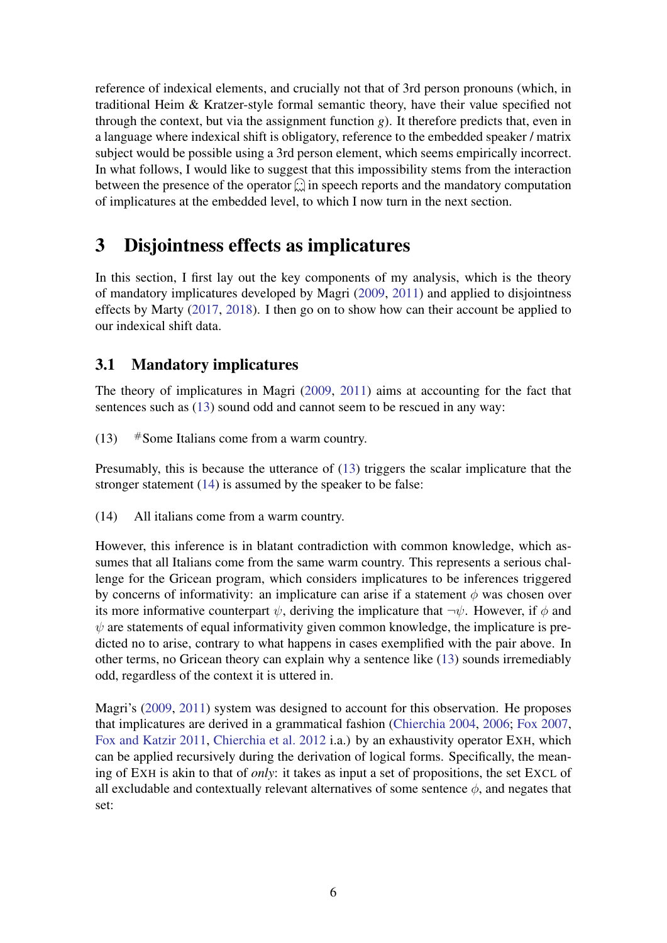reference of indexical elements, and crucially not that of 3rd person pronouns (which, in traditional Heim & Kratzer-style formal semantic theory, have their value specified not through the context, but via the assignment function *g*). It therefore predicts that, even in a language where indexical shift is obligatory, reference to the embedded speaker / matrix subject would be possible using a 3rd person element, which seems empirically incorrect. In what follows, I would like to suggest that this impossibility stems from the interaction between the presence of the operator  $\widehat{\mathfrak{m}}$  in speech reports and the mandatory computation of implicatures at the embedded level, to which I now turn in the next section.

# <span id="page-5-0"></span>3 Disjointness effects as implicatures

In this section, I first lay out the key components of my analysis, which is the theory of mandatory implicatures developed by Magri [\(2009,](#page-25-5) [2011\)](#page-25-4) and applied to disjointness effects by Marty [\(2017,](#page-25-1) [2018\)](#page-26-6). I then go on to show how can their account be applied to our indexical shift data.

## <span id="page-5-1"></span>3.1 Mandatory implicatures

The theory of implicatures in Magri [\(2009,](#page-25-5) [2011\)](#page-25-4) aims at accounting for the fact that sentences such as [\(13\)](#page-5-1) sound odd and cannot seem to be rescued in any way:

(13)  $\#$  Some Italians come from a warm country.

Presumably, this is because the utterance of [\(13\)](#page-5-1) triggers the scalar implicature that the stronger statement [\(14\)](#page-5-1) is assumed by the speaker to be false:

(14) All italians come from a warm country.

However, this inference is in blatant contradiction with common knowledge, which assumes that all Italians come from the same warm country. This represents a serious challenge for the Gricean program, which considers implicatures to be inferences triggered by concerns of informativity: an implicature can arise if a statement  $\phi$  was chosen over its more informative counterpart  $\psi$ , deriving the implicature that  $\neg \psi$ . However, if  $\phi$  and  $\psi$  are statements of equal informativity given common knowledge, the implicature is predicted no to arise, contrary to what happens in cases exemplified with the pair above. In other terms, no Gricean theory can explain why a sentence like [\(13\)](#page-5-1) sounds irremediably odd, regardless of the context it is uttered in.

Magri's [\(2009,](#page-25-5) [2011\)](#page-25-4) system was designed to account for this observation. He proposes that implicatures are derived in a grammatical fashion [\(Chierchia](#page-24-8) [2004,](#page-24-8) [2006;](#page-24-5) [Fox](#page-24-6) [2007,](#page-24-6) [Fox and Katzir](#page-24-9) [2011,](#page-24-9) [Chierchia et al.](#page-24-7) [2012](#page-24-7) i.a.) by an exhaustivity operator EXH, which can be applied recursively during the derivation of logical forms. Specifically, the meaning of EXH is akin to that of *only*: it takes as input a set of propositions, the set EXCL of all excludable and contextually relevant alternatives of some sentence  $\phi$ , and negates that set: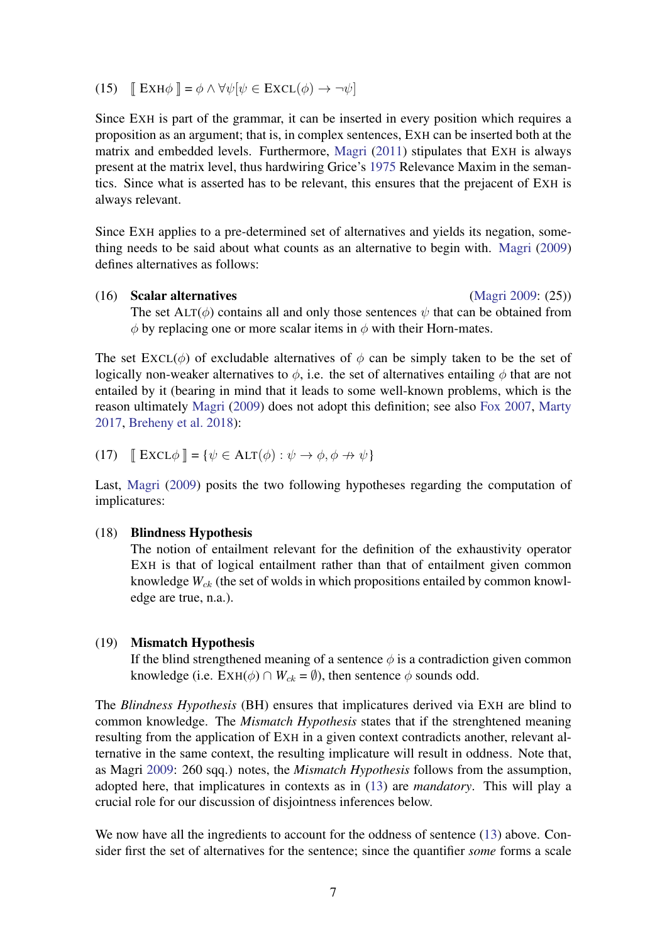(15)  $\left[ \right]$  EXH $\phi$   $\left[ = \phi \wedge \forall \psi \, | \psi \in \text{EXCL}(\phi) \rightarrow \neg \psi \right]$ 

Since EXH is part of the grammar, it can be inserted in every position which requires a proposition as an argument; that is, in complex sentences, EXH can be inserted both at the matrix and embedded levels. Furthermore, [Magri](#page-25-4) [\(2011\)](#page-25-4) stipulates that EXH is always present at the matrix level, thus hardwiring Grice's [1975](#page-25-8) Relevance Maxim in the semantics. Since what is asserted has to be relevant, this ensures that the prejacent of EXH is always relevant.

Since EXH applies to a pre-determined set of alternatives and yields its negation, something needs to be said about what counts as an alternative to begin with. [Magri](#page-25-5) [\(2009\)](#page-25-5) defines alternatives as follows:

#### (16) Scalar alternatives [\(Magri](#page-25-5) [2009:](#page-25-5) (25))

The set  $ALT(\phi)$  contains all and only those sentences  $\psi$  that can be obtained from  $\phi$  by replacing one or more scalar items in  $\phi$  with their Horn-mates.

The set  $\text{EXCL}(\phi)$  of excludable alternatives of  $\phi$  can be simply taken to be the set of logically non-weaker alternatives to  $\phi$ , i.e. the set of alternatives entailing  $\phi$  that are not entailed by it (bearing in mind that it leads to some well-known problems, which is the reason ultimately [Magri](#page-25-5) [\(2009\)](#page-25-5) does not adopt this definition; see also [Fox](#page-24-6) [2007,](#page-24-6) [Marty](#page-25-1) [2017,](#page-25-1) [Breheny et al.](#page-24-10) [2018\)](#page-24-10):

(17) 
$$
\mathbb{E} \operatorname{XCL} \phi \mathbb{I} = \{ \psi \in \operatorname{ALT}(\phi) : \psi \to \phi, \phi \to \psi \}
$$

Last, [Magri](#page-25-5) [\(2009\)](#page-25-5) posits the two following hypotheses regarding the computation of implicatures:

#### (18) Blindness Hypothesis

The notion of entailment relevant for the definition of the exhaustivity operator EXH is that of logical entailment rather than that of entailment given common knowledge  $W_{ck}$  (the set of wolds in which propositions entailed by common knowledge are true, n.a.).

#### (19) Mismatch Hypothesis

If the blind strengthened meaning of a sentence  $\phi$  is a contradiction given common knowledge (i.e.  $EXH(\phi) \cap W_{ck} = \emptyset$ ), then sentence  $\phi$  sounds odd.

The *Blindness Hypothesis* (BH) ensures that implicatures derived via EXH are blind to common knowledge. The *Mismatch Hypothesis* states that if the strenghtened meaning resulting from the application of EXH in a given context contradicts another, relevant alternative in the same context, the resulting implicature will result in oddness. Note that, as Magri [2009:](#page-25-5) 260 sqq.) notes, the *Mismatch Hypothesis* follows from the assumption, adopted here, that implicatures in contexts as in [\(13\)](#page-5-1) are *mandatory*. This will play a crucial role for our discussion of disjointness inferences below.

We now have all the ingredients to account for the oddness of sentence [\(13\)](#page-5-1) above. Consider first the set of alternatives for the sentence; since the quantifier *some* forms a scale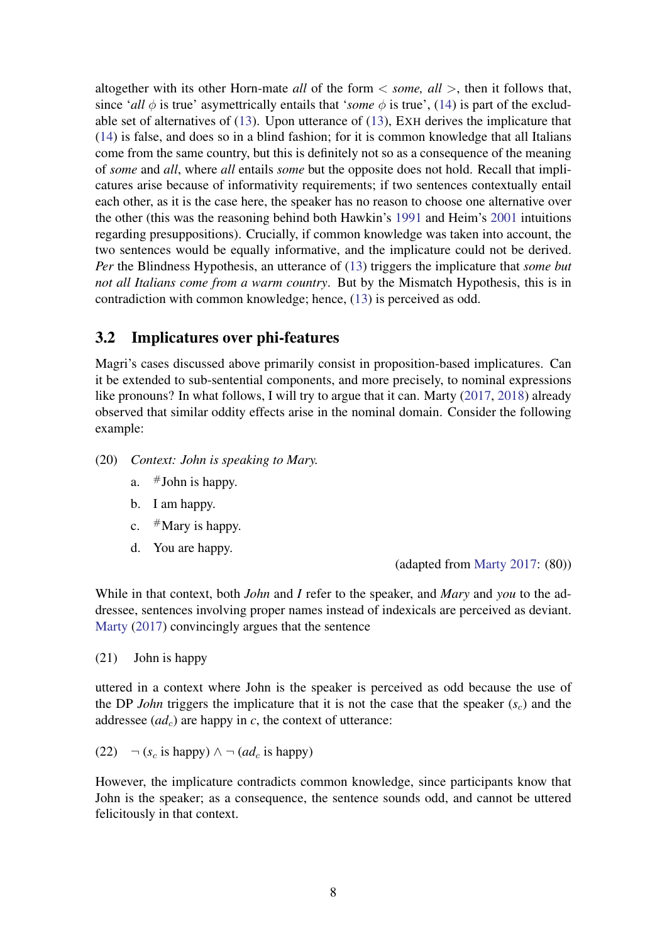altogether with its other Horn-mate *all* of the form < *some, all* >, then it follows that, since '*all*  $\phi$  is true' asymettrically entails that '*some*  $\phi$  is true', [\(14\)](#page-5-1) is part of the excludable set of alternatives of [\(13\)](#page-5-1). Upon utterance of [\(13\)](#page-5-1), EXH derives the implicature that [\(14\)](#page-5-1) is false, and does so in a blind fashion; for it is common knowledge that all Italians come from the same country, but this is definitely not so as a consequence of the meaning of *some* and *all*, where *all* entails *some* but the opposite does not hold. Recall that implicatures arise because of informativity requirements; if two sentences contextually entail each other, as it is the case here, the speaker has no reason to choose one alternative over the other (this was the reasoning behind both Hawkin's [1991](#page-25-9) and Heim's [2001](#page-25-10) intuitions regarding presuppositions). Crucially, if common knowledge was taken into account, the two sentences would be equally informative, and the implicature could not be derived. *Per* the Blindness Hypothesis, an utterance of [\(13\)](#page-5-1) triggers the implicature that *some but not all Italians come from a warm country*. But by the Mismatch Hypothesis, this is in contradiction with common knowledge; hence, [\(13\)](#page-5-1) is perceived as odd.

### <span id="page-7-0"></span>3.2 Implicatures over phi-features

Magri's cases discussed above primarily consist in proposition-based implicatures. Can it be extended to sub-sentential components, and more precisely, to nominal expressions like pronouns? In what follows, I will try to argue that it can. Marty [\(2017,](#page-25-1) [2018\)](#page-26-6) already observed that similar oddity effects arise in the nominal domain. Consider the following example:

- (20) *Context: John is speaking to Mary.*
	- a.  $\#$ John is happy.
	- b. I am happy.
	- c.  $#$ Mary is happy.
	- d. You are happy.

(adapted from [Marty](#page-25-1) [2017:](#page-25-1) (80))

While in that context, both *John* and *I* refer to the speaker, and *Mary* and *you* to the addressee, sentences involving proper names instead of indexicals are perceived as deviant. [Marty](#page-25-1) [\(2017\)](#page-25-1) convincingly argues that the sentence

(21) John is happy

uttered in a context where John is the speaker is perceived as odd because the use of the DP *John* triggers the implicature that it is not the case that the speaker  $(s<sub>c</sub>)$  and the addressee  $(ad<sub>c</sub>)$  are happy in *c*, the context of utterance:

(22)  $\neg$  (*s<sub>c</sub>* is happy) ∧  $\neg$  (*ad<sub>c</sub>* is happy)

However, the implicature contradicts common knowledge, since participants know that John is the speaker; as a consequence, the sentence sounds odd, and cannot be uttered felicitously in that context.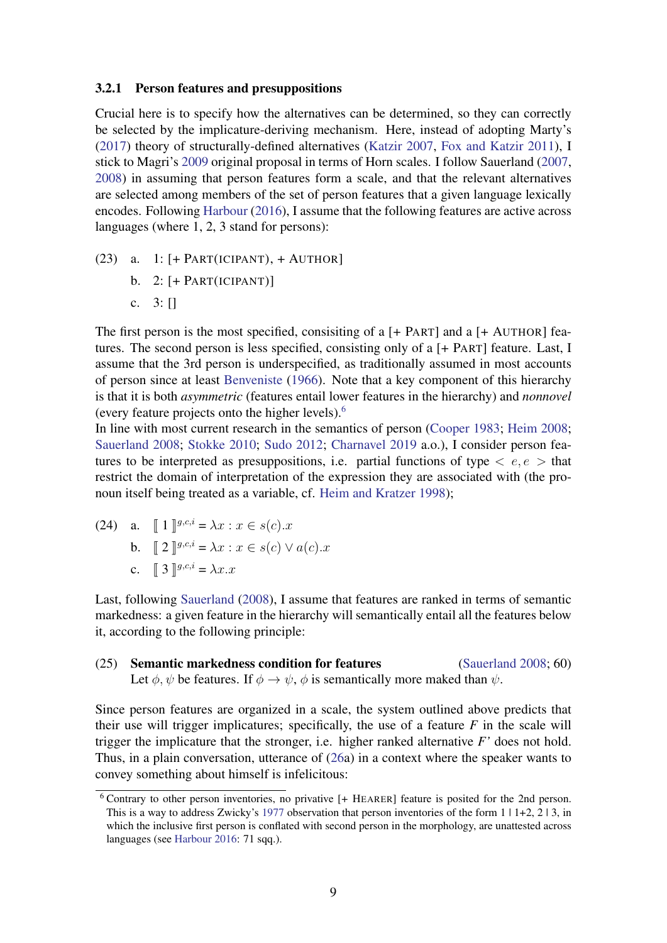#### <span id="page-8-0"></span>3.2.1 Person features and presuppositions

Crucial here is to specify how the alternatives can be determined, so they can correctly be selected by the implicature-deriving mechanism. Here, instead of adopting Marty's [\(2017\)](#page-25-1) theory of structurally-defined alternatives [\(Katzir](#page-25-11) [2007,](#page-25-11) [Fox and Katzir](#page-24-9) [2011\)](#page-24-9), I stick to Magri's [2009](#page-25-5) original proposal in terms of Horn scales. I follow Sauerland [\(2007,](#page-26-2) [2008\)](#page-26-8) in assuming that person features form a scale, and that the relevant alternatives are selected among members of the set of person features that a given language lexically encodes. Following [Harbour](#page-25-12) [\(2016\)](#page-25-12), I assume that the following features are active across languages (where 1, 2, 3 stand for persons):

- (23) a.  $1:$  [+ PART(ICIPANT), + AUTHOR]
	- b.  $2:$  [+ PART(ICIPANT)]
	- c. 3: []

The first person is the most specified, consisiting of a [+ PART] and a [+ AUTHOR] features. The second person is less specified, consisting only of a [+ PART] feature. Last, I assume that the 3rd person is underspecified, as traditionally assumed in most accounts of person since at least [Benveniste](#page-24-11) [\(1966\)](#page-24-11). Note that a key component of this hierarchy is that it is both *asymmetric* (features entail lower features in the hierarchy) and *nonnovel* (every feature projects onto the higher levels).[6](#page-0-1)

In line with most current research in the semantics of person [\(Cooper](#page-24-12) [1983;](#page-24-12) [Heim](#page-25-13) [2008;](#page-25-13) [Sauerland](#page-26-8) [2008;](#page-26-8) [Stokke](#page-27-3) [2010;](#page-27-3) [Sudo](#page-27-4) [2012;](#page-27-4) [Charnavel](#page-24-13) [2019](#page-24-13) a.o.), I consider person features to be interpreted as presuppositions, i.e. partial functions of type  $\langle e, e \rangle$  that restrict the domain of interpretation of the expression they are associated with (the pronoun itself being treated as a variable, cf. [Heim and Kratzer](#page-25-14) [1998\)](#page-25-14);

(24) a.  $[1]^{g,c,i} = \lambda x : x \in s(c).x$ **b.**  $[2]$   $[9, c, i = \lambda x : x \in s(c) \vee a(c).x]$ c.  $\int 3 \int g^{i} \cdot c \cdot d\theta = \lambda x \cdot x$ 

Last, following [Sauerland](#page-26-8) [\(2008\)](#page-26-8), I assume that features are ranked in terms of semantic markedness: a given feature in the hierarchy will semantically entail all the features below it, according to the following principle:

(25) Semantic markedness condition for features [\(Sauerland](#page-26-8) [2008;](#page-26-8) 60) Let  $\phi$ ,  $\psi$  be features. If  $\phi \rightarrow \psi$ ,  $\phi$  is semantically more maked than  $\psi$ .

Since person features are organized in a scale, the system outlined above predicts that their use will trigger implicatures; specifically, the use of a feature  $F$  in the scale will trigger the implicature that the stronger, i.e. higher ranked alternative *F'* does not hold. Thus, in a plain conversation, utterance of [\(26a](#page-8-0)) in a context where the speaker wants to convey something about himself is infelicitous:

<sup>6</sup> Contrary to other person inventories, no privative [+ HEARER] feature is posited for the 2nd person. This is a way to address Zwicky's [1977](#page-27-5) observation that person inventories of the form  $1 \mid 1+2$ ,  $2 \mid 3$ , in which the inclusive first person is conflated with second person in the morphology, are unattested across languages (see [Harbour](#page-25-12) [2016:](#page-25-12) 71 sqq.).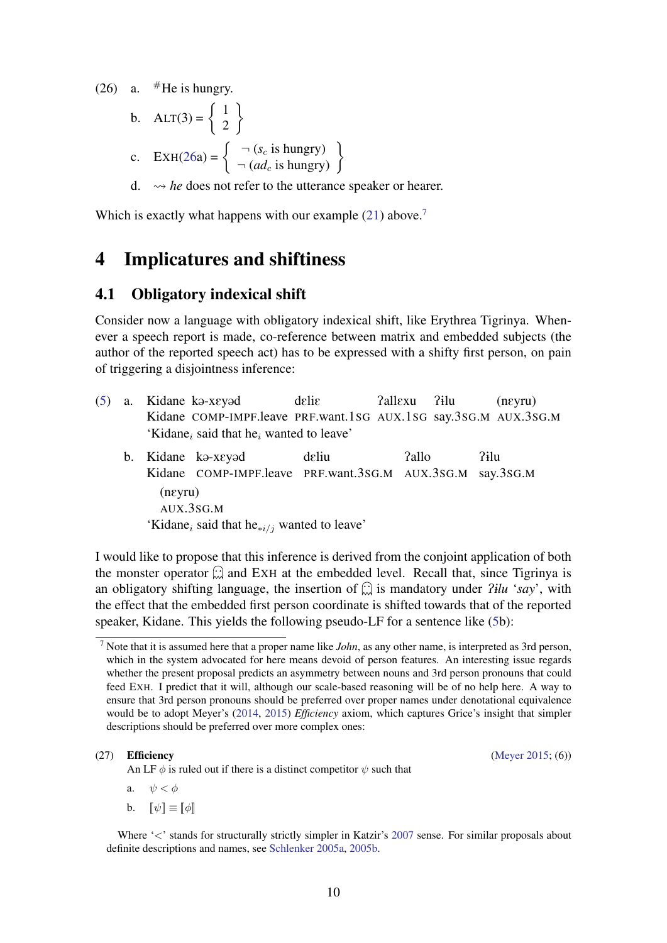(26) a.  $#$ He is hungry.

b. 
$$
ALT(3) = \begin{Bmatrix} 1 \\ 2 \end{Bmatrix}
$$
  
c.  $EXH(26a) = \begin{Bmatrix} \neg (s_c \text{ is hungry}) \\ \neg (ad_c \text{ is hungry}) \end{Bmatrix}$ 

d.  $\rightarrow$  *he* does not refer to the utterance speaker or hearer.

Which is exactly what happens with our example  $(21)$  above.<sup>[7](#page-0-1)</sup>

# 4 Implicatures and shiftiness

### <span id="page-9-0"></span>4.1 Obligatory indexical shift

Consider now a language with obligatory indexical shift, like Erythrea Tigrinya. Whenever a speech report is made, co-reference between matrix and embedded subjects (the author of the reported speech act) has to be expressed with a shifty first person, on pain of triggering a disjointness inference:

- $(5)$  a. Kidane COMP-IMPF.leave PRF.want.1SG AUX.1SG say.3SG.M AUX.3SG.M Kidane ka-xeyad delig Pallexu P1lu (nEyru) 'Kidane<sub>i</sub> said that he<sub>i</sub> wanted to leave'
	- b. Kidane kə-xeyəd Kidane COMP-IMPF.leave PRF.want.3SG.M AUX.3SG.M say.3SG.M deliu Pallo P1lu (nEyru) AUX.3SG.M 'Kidane<sub>i</sub> said that he<sub>∗i/j</sub> wanted to leave'

I would like to propose that this inference is derived from the conjoint application of both the monster operator  $\mathbb{C}$  and EXH at the embedded level. Recall that, since Tigrinya is an obligatory shifting language, the insertion of  $\widehat{\omega}$  is mandatory under *Pilu 'say'*, with the effect that the embedded first person coordinate is shifted towards that of the reported speaker, Kidane. This yields the following pseudo-LF for a sentence like [\(5b](#page-0-0)):

An LF  $\phi$  is ruled out if there is a distinct competitor  $\psi$  such that

#### (27) **Efficiency** (Never [2015;](#page-26-10)  $(6)$ )

- a.  $\psi < \phi$
- b.  $\llbracket \psi \rrbracket \equiv \llbracket \phi \rrbracket$

Where '<' stands for structurally strictly simpler in Katzir's [2007](#page-25-11) sense. For similar proposals about definite descriptions and names, see [Schlenker](#page-26-11) [2005a,](#page-26-11) [2005b.](#page-26-12)

<sup>7</sup> Note that it is assumed here that a proper name like *John*, as any other name, is interpreted as 3rd person, which in the system advocated for here means devoid of person features. An interesting issue regards whether the present proposal predicts an asymmetry between nouns and 3rd person pronouns that could feed EXH. I predict that it will, although our scale-based reasoning will be of no help here. A way to ensure that 3rd person pronouns should be preferred over proper names under denotational equivalence would be to adopt Meyer's [\(2014,](#page-26-9) [2015\)](#page-26-10) *Efficiency* axiom, which captures Grice's insight that simpler descriptions should be preferred over more complex ones: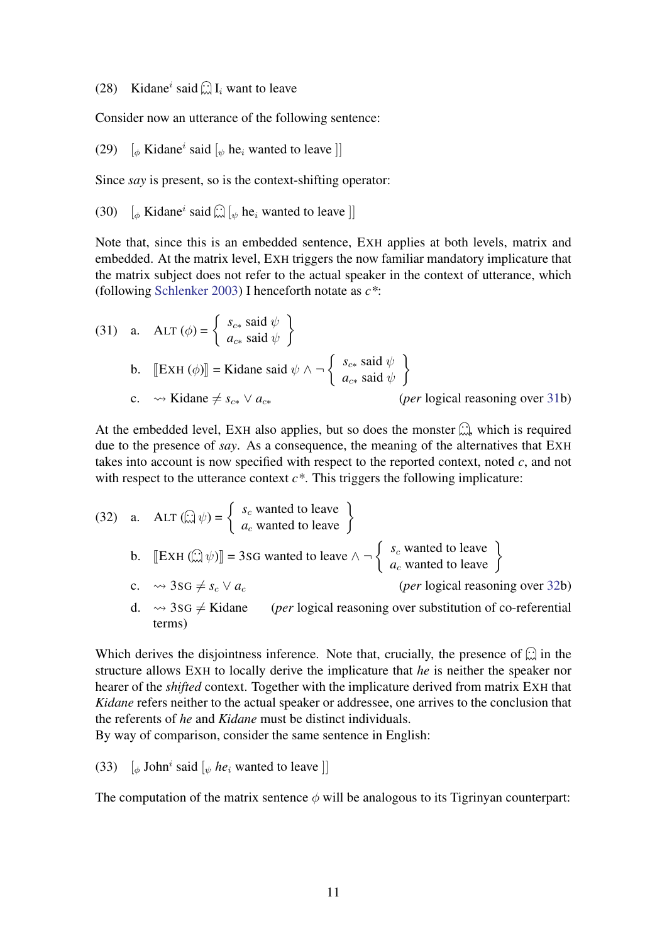(28) Kidane<sup>*i*</sup> said  $\left(\frac{1}{N}\right)I_i$  want to leave

Consider now an utterance of the following sentence:

(29)  $\left[\phi \text{ Kidane}^i \text{ said } \left[\phi \text{ he}_i \text{ wanted to leave } \right]\right]$ 

Since *say* is present, so is the context-shifting operator:

(30)  $\left[\phi \text{ Kidane}^i \text{ said } \widehat{\omega} \right] \left[\psi \text{ he}_i \text{ wanted to leave } \right]$ 

Note that, since this is an embedded sentence, EXH applies at both levels, matrix and embedded. At the matrix level, EXH triggers the now familiar mandatory implicature that the matrix subject does not refer to the actual speaker in the context of utterance, which (following [Schlenker](#page-26-0) [2003\)](#page-26-0) I henceforth notate as *c\**:

(31) a. 
$$
\text{ALT}(\phi) = \begin{cases} s_{c*} \text{ said } \psi \\ a_{c*} \text{ said } \psi \end{cases}
$$
  
b.  $[\text{EXH}(\phi)] = \text{Kidane said } \psi \wedge \neg \begin{cases} s_{c*} \text{ said } \psi \\ a_{c*} \text{ said } \psi \end{cases}$   
c.  $\leadsto \text{Kidane} \neq s_{c*} \vee a_{c*}$  (*per* logical reasoning over 31b)

At the embedded level, EXH also applies, but so does the monster  $\hat{\omega}$ , which is required due to the presence of *say*. As a consequence, the meaning of the alternatives that EXH takes into account is now specified with respect to the reported context, noted *c*, and not with respect to the utterance context  $c^*$ . This triggers the following implicature:

(32) a. 
$$
\text{ALT}(\widehat{\mathbb{Z}}|\psi) = \begin{cases} s_c \text{ wanted to leave} \\ a_c \text{ wanted to leave} \end{cases}
$$
  
\nb.  $[\text{EXH}(\widehat{\mathbb{Z}}|\psi)] = 3\text{SG wanted to leave } \wedge \neg \begin{cases} s_c \text{ wanted to leave} \\ a_c \text{ wanted to leave} \end{cases}$   
\nc.  $\leadsto 3\text{SG} \neq s_c \vee a_c$  (*per* logical reasoning over 32b)  
\nd.  $\leadsto 3\text{SG} \neq \text{Kidane}$  (*per* logical reasoning over substitution of co-referential

terms)

Which derives the disjointness inference. Note that, crucially, the presence of  $\hat{\omega}$  in the structure allows EXH to locally derive the implicature that *he* is neither the speaker nor hearer of the *shifted* context. Together with the implicature derived from matrix EXH that *Kidane* refers neither to the actual speaker or addressee, one arrives to the conclusion that the referents of *he* and *Kidane* must be distinct individuals.

By way of comparison, consider the same sentence in English:

(33)  $\left[\phi \text{ John}^i \text{ said } \left[\psi \text{ he}_i \text{ wanted to leave } \right]\right]$ 

The computation of the matrix sentence  $\phi$  will be analogous to its Tigrinyan counterpart: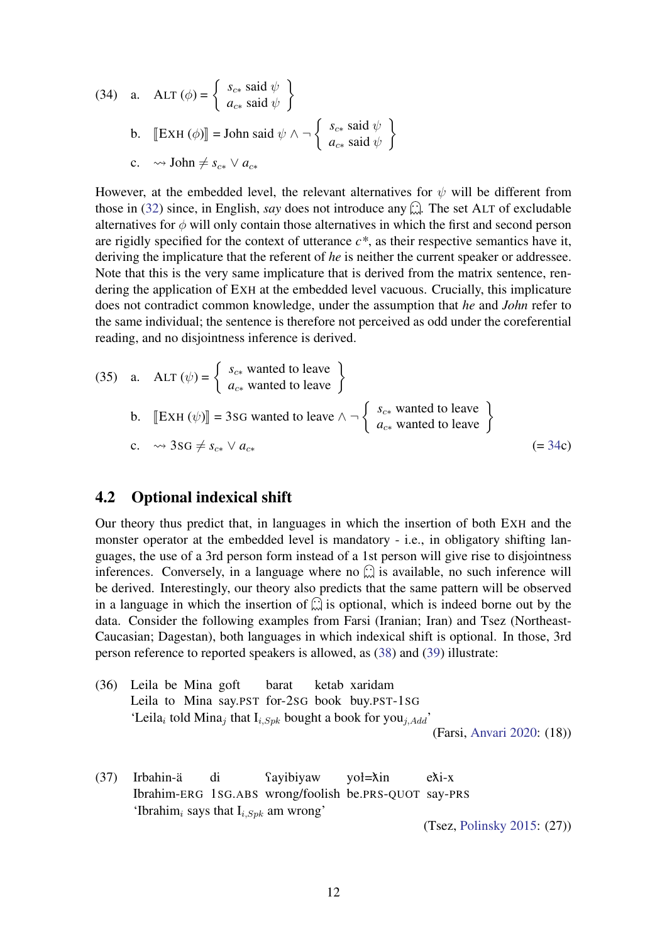(34) a. 
$$
\text{ALT}(\phi) = \begin{cases} s_{c*} \text{ said } \psi \\ a_{c*} \text{ said } \psi \end{cases}
$$
  
b.  $[\text{EXH}(\phi)] = \text{John said } \psi \wedge \neg \begin{cases} s_{c*} \text{ said } \psi \\ a_{c*} \text{ said } \psi \end{cases}$   
c.  $\leadsto \text{John} \neq s_{c*} \vee a_{c*}$ 

However, at the embedded level, the relevant alternatives for  $\psi$  will be different from those in [\(32\)](#page-9-0) since, in English, *say* does not introduce any  $\hat{\omega}$ . The set ALT of excludable alternatives for  $\phi$  will only contain those alternatives in which the first and second person are rigidly specified for the context of utterance  $c^*$ , as their respective semantics have it, deriving the implicature that the referent of *he* is neither the current speaker or addressee. Note that this is the very same implicature that is derived from the matrix sentence, rendering the application of EXH at the embedded level vacuous. Crucially, this implicature does not contradict common knowledge, under the assumption that *he* and *John* refer to the same individual; the sentence is therefore not perceived as odd under the coreferential reading, and no disjointness inference is derived.

(35) a. 
$$
\text{ALT}(\psi) = \begin{cases} s_{c*} \text{ wanted to leave} \\ a_{c*} \text{ wanted to leave} \end{cases}
$$
  
b.  $[\text{EXH}(\psi)] = 3\text{SG wanted to leave } \wedge \neg \begin{cases} s_{c*} \text{ wanted to leave} \\ a_{c*} \text{ wanted to leave} \end{cases}$   
c.  $\leadsto 3\text{SG} \neq s_{c*} \vee a_{c*}$   $(= 34c)$ 

### <span id="page-11-0"></span>4.2 Optional indexical shift

Our theory thus predict that, in languages in which the insertion of both EXH and the monster operator at the embedded level is mandatory - i.e., in obligatory shifting languages, the use of a 3rd person form instead of a 1st person will give rise to disjointness inferences. Conversely, in a language where no  $\widehat{\omega}$  is available, no such inference will be derived. Interestingly, our theory also predicts that the same pattern will be observed in a language in which the insertion of  $\hat{\omega}$  is optional, which is indeed borne out by the data. Consider the following examples from Farsi (Iranian; Iran) and Tsez (Northeast-Caucasian; Dagestan), both languages in which indexical shift is optional. In those, 3rd person reference to reported speakers is allowed, as [\(38\)](#page-11-0) and [\(39\)](#page-11-0) illustrate:

(36) Leila be Mina goft Leila to Mina say.PST for-2SG book buy.PST-1SG barat ketab xaridam 'Leila<sub>i</sub> told Mina<sub>j</sub> that  $I_{i, Spk}$  bought a book for you<sub>j,Add</sub>'

(Farsi, [Anvari](#page-24-3) [2020:](#page-24-3) (18))

(37) Irbahin-ä Ibrahim-ERG 1SG.ABS wrong/foolish be.PRS-QUOT say-PRS di **Tayibiyaw** yoł=ňin eňi-x 'Ibrahim<sub>i</sub> says that  $I_{i,Spk}$  am wrong'

(Tsez, [Polinsky](#page-26-13) [2015:](#page-26-13) (27))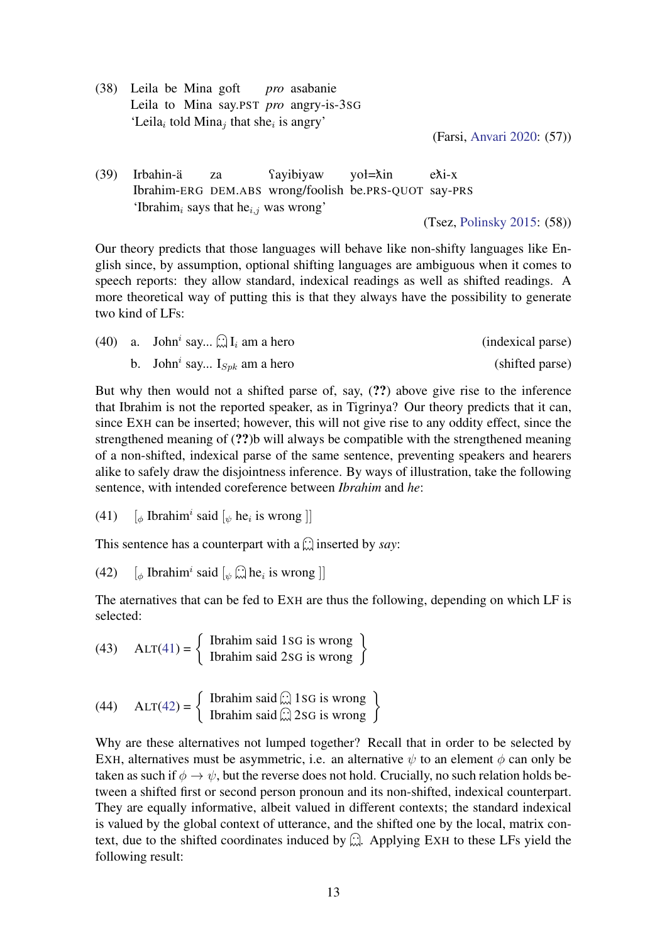(38) Leila be Mina goft Leila to Mina say.PST *pro* angry-is-3SG *pro* asabanie 'Leila<sub>i</sub> told Mina<sub>j</sub> that she<sub>i</sub> is angry'

(Farsi, [Anvari](#page-24-3) [2020:](#page-24-3) (57))

(39) Irbahin-ä Ibrahim-ERG DEM.ABS wrong/foolish be.PRS-QUOT say-PRS za **f**ayibiyaw yoł=ňin eňi-x 'Ibrahim<sub>i</sub> says that he<sub>i,j</sub> was wrong'

(Tsez, [Polinsky](#page-26-13) [2015:](#page-26-13) (58))

Our theory predicts that those languages will behave like non-shifty languages like English since, by assumption, optional shifting languages are ambiguous when it comes to speech reports: they allow standard, indexical readings as well as shifted readings. A more theoretical way of putting this is that they always have the possibility to generate two kind of LFs:

|  | (40) a. John <sup><i>i</i></sup> say $\bigcup_{i=1}^{n} I_i$ am a hero | (indexical parse) |
|--|------------------------------------------------------------------------|-------------------|
|  | b. John <sup><i>i</i></sup> say $I_{Spk}$ am a hero                    | (shifted parse)   |

But why then would not a shifted parse of, say, (??) above give rise to the inference that Ibrahim is not the reported speaker, as in Tigrinya? Our theory predicts that it can, since EXH can be inserted; however, this will not give rise to any oddity effect, since the strengthened meaning of (??)b will always be compatible with the strengthened meaning of a non-shifted, indexical parse of the same sentence, preventing speakers and hearers alike to safely draw the disjointness inference. By ways of illustration, take the following sentence, with intended coreference between *Ibrahim* and *he*:

(41)  $\left[\phi \text{ Ibrahim}^i \text{ said } [\psi \text{ he}_i \text{ is wrong } ]\right]$ 

This sentence has a counterpart with a  $\widehat{\omega}$  inserted by *say*:

(42)  $\left[\phi \text{ Ibrahim}^i \text{ said } \left[\psi \widehat{\mathbb{Q}} \text{ he}_i \text{ is wrong }\right]\right]$ 

The aternatives that can be fed to EXH are thus the following, depending on which LF is selected:

(43) 
$$
ALT(41) = \begin{cases} \text{Ibrahim said 1SG is wrong} \\ \text{Ibrahim said 2SG is wrong} \end{cases}
$$

(44) 
$$
ALT(42) = \begin{cases} \text{Ibrahim said } \dots \text{ } 1SG \text{ is wrong} \\ \text{Ibrahim said } \dots \text{ } 2SG \text{ is wrong} \end{cases}
$$

Why are these alternatives not lumped together? Recall that in order to be selected by EXH, alternatives must be asymmetric, i.e. an alternative  $\psi$  to an element  $\phi$  can only be taken as such if  $\phi \to \psi$ , but the reverse does not hold. Crucially, no such relation holds between a shifted first or second person pronoun and its non-shifted, indexical counterpart. They are equally informative, albeit valued in different contexts; the standard indexical is valued by the global context of utterance, and the shifted one by the local, matrix context, due to the shifted coordinates induced by  $\hat{\omega}$ . Applying EXH to these LFs yield the following result: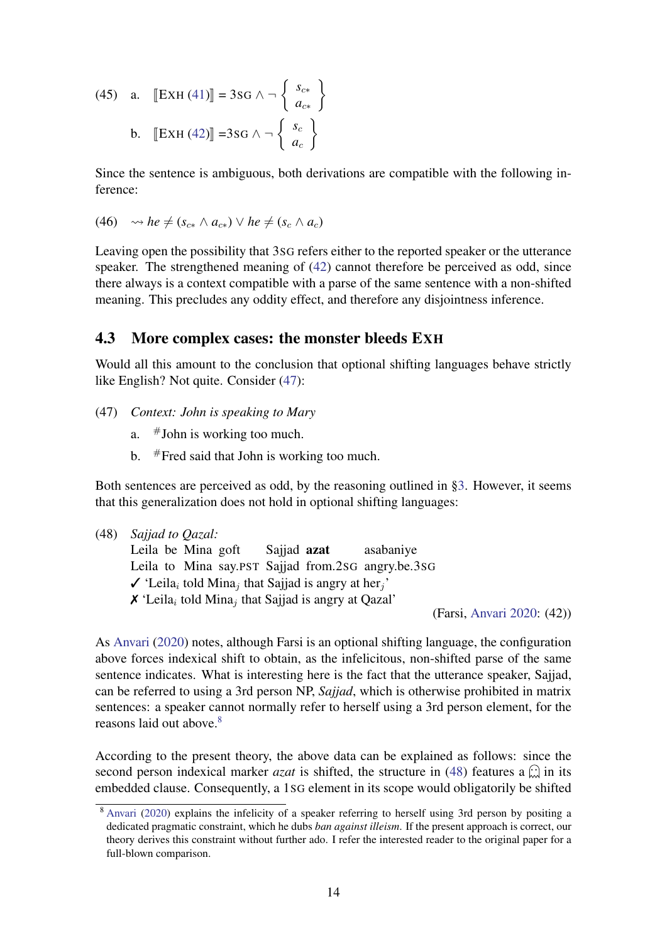(45) a. 
$$
\left[\text{EXH (41)}\right] = 3\text{SG } \wedge \neg \left\{\begin{array}{c} s_{c*} \\ a_{c*} \end{array}\right\}
$$
  
b. 
$$
\left[\text{EXH (42)}\right] = 3\text{SG } \wedge \neg \left\{\begin{array}{c} s_c \\ a_c \end{array}\right\}
$$

Since the sentence is ambiguous, both derivations are compatible with the following inference:

(46) 
$$
\rightsquigarrow
$$
 he  $\neq$  ( $s_{c*} \land a_{c*}$ )  $\lor$  he  $\neq$  ( $s_c \land a_c$ )

Leaving open the possibility that 3SG refers either to the reported speaker or the utterance speaker. The strengthened meaning of [\(42\)](#page-11-0) cannot therefore be perceived as odd, since there always is a context compatible with a parse of the same sentence with a non-shifted meaning. This precludes any oddity effect, and therefore any disjointness inference.

### <span id="page-13-0"></span>4.3 More complex cases: the monster bleeds EXH

Would all this amount to the conclusion that optional shifting languages behave strictly like English? Not quite. Consider [\(47\)](#page-13-0):

- (47) *Context: John is speaking to Mary*
	- a.  $\#$  John is working too much.
	- b.  $#$  Fred said that John is working too much.

Both sentences are perceived as odd, by the reasoning outlined in [§3.](#page-5-0) However, it seems that this generalization does not hold in optional shifting languages:

(48) *Sajjad to Qazal:*

Leila be Mina goft Leila to Mina say.PST Sajjad from.2SG angry.be.3SG Sajjad azat asabaniye  $\checkmark$  'Leila<sub>i</sub> told Mina<sub>j</sub> that Sajjad is angry at her<sub>j</sub>'  $\boldsymbol{\mathsf{X}}$  'Leila<sub>i</sub> told Mina<sub>j</sub> that Sajjad is angry at Qazal'

(Farsi, [Anvari](#page-24-3) [2020:](#page-24-3) (42))

As [Anvari](#page-24-3) [\(2020\)](#page-24-3) notes, although Farsi is an optional shifting language, the configuration above forces indexical shift to obtain, as the infelicitous, non-shifted parse of the same sentence indicates. What is interesting here is the fact that the utterance speaker, Sajjad, can be referred to using a 3rd person NP, *Sajjad*, which is otherwise prohibited in matrix sentences: a speaker cannot normally refer to herself using a 3rd person element, for the reasons laid out above.<sup>[8](#page-0-1)</sup>

According to the present theory, the above data can be explained as follows: since the second person indexical marker *azat* is shifted, the structure in [\(48\)](#page-13-0) features a  $\hat{\omega}$  in its embedded clause. Consequently, a 1SG element in its scope would obligatorily be shifted

<sup>8</sup> [Anvari](#page-24-3) [\(2020\)](#page-24-3) explains the infelicity of a speaker referring to herself using 3rd person by positing a dedicated pragmatic constraint, which he dubs *ban against illeism*. If the present approach is correct, our theory derives this constraint without further ado. I refer the interested reader to the original paper for a full-blown comparison.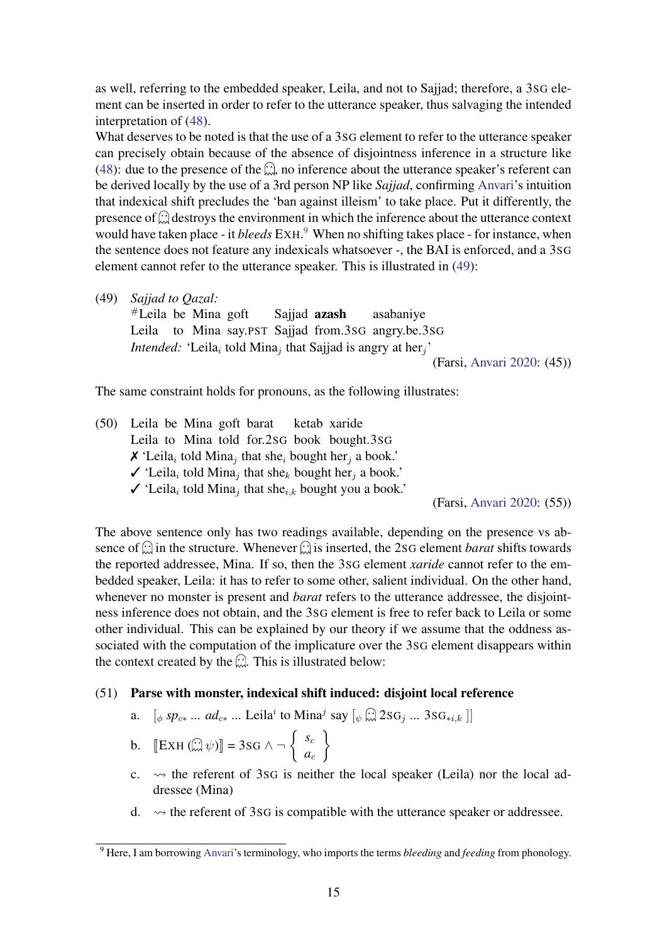as well, referring to the embedded speaker, Leila, and not to Sajjad; therefore, a 3SG element can be inserted in order to refer to the utterance speaker, thus salvaging the intended interpretation of [\(48\)](#page-13-0).

What deserves to be noted is that the use of a 3SG element to refer to the utterance speaker can precisely obtain because of the absence of disjointness inference in a structure like [\(48\)](#page-13-0): due to the presence of the  $\widehat{\mathfrak{m}}$ , no inference about the utterance speaker's referent can be derived locally by the use of a 3rd person NP like *Sajjad*, confirming [Anvari'](#page-24-3)s intuition that indexical shift precludes the 'ban against illeism' to take place. Put it differently, the presence of  $\widehat{\omega}$  destroys the environment in which the inference about the utterance context would have taken place - it *bleeds* EXH. [9](#page-0-1) When no shifting takes place - for instance, when the sentence does not feature any indexicals whatsoever -, the BAI is enforced, and a 3SG element cannot refer to the utterance speaker. This is illustrated in [\(49\)](#page-13-0):

(49) *Sajjad to Qazal:*

#Leila be Mina goft Leila to Mina say.PST Sajjad from.3SG angry.be.3SG Sajjad azash asabaniye *Intended:* 'Leila<sub>i</sub> told Mina<sub>j</sub> that Sajjad is angry at her<sub>j</sub>' (Farsi, [Anvari](#page-24-3) [2020:](#page-24-3) (45))

The same constraint holds for pronouns, as the following illustrates:

(50) Leila be Mina goft barat Leila to Mina told for.2SG book bought.3SG ketab xaride  $\boldsymbol{\chi}$  'Leila<sub>i</sub> told Mina<sub>j</sub> that she<sub>i</sub> bought her<sub>j</sub> a book.'  $\checkmark$  'Leila<sub>i</sub> told Mina<sub>j</sub> that she<sub>k</sub> bought her<sub>j</sub> a book.'  $\checkmark$  'Leila<sub>i</sub> told Mina<sub>j</sub> that she<sub>i,k</sub> bought you a book.'

(Farsi, [Anvari](#page-24-3) [2020:](#page-24-3) (55))

The above sentence only has two readings available, depending on the presence vs absence of  $\hat{\omega}$  in the structure. Whenever  $\hat{\omega}$  is inserted, the 2sG element *barat* shifts towards the reported addressee, Mina. If so, then the 3SG element *xaride* cannot refer to the embedded speaker, Leila: it has to refer to some other, salient individual. On the other hand, whenever no monster is present and *barat* refers to the utterance addressee, the disjointness inference does not obtain, and the 3SG element is free to refer back to Leila or some other individual. This can be explained by our theory if we assume that the oddness associated with the computation of the implicature over the 3SG element disappears within the context created by the  $\widehat{\mathbb{C}}$ . This is illustrated below:

#### (51) Parse with monster, indexical shift induced: disjoint local reference

a.  $[\phi \text{ } sp_{c*} \dots \text{ } ad_{c*} \dots \text{ Leila}^i \text{ to Mina}^j \text{ say } [\psi \overset{\frown}{\dots} 2 \text{SG}_j \dots \text{ } 3 \text{SG}_{*i,k}]]$ 

$$
\text{b.} \quad \left[ \text{EXH} \left( \widehat{\mathbb{L} \mathbb{I}} \psi \right) \right] = 3 \text{SG } \wedge \neg \left\{ \begin{array}{c} s_c \\ a_c \end{array} \right\}
$$

- c.  $\rightsquigarrow$  the referent of 3sG is neither the local speaker (Leila) nor the local addressee (Mina)
- d.  $\rightsquigarrow$  the referent of 3sG is compatible with the utterance speaker or addressee.

<sup>9</sup> Here, I am borrowing [Anvari'](#page-24-3)s terminology, who imports the terms *bleeding* and *feeding* from phonology.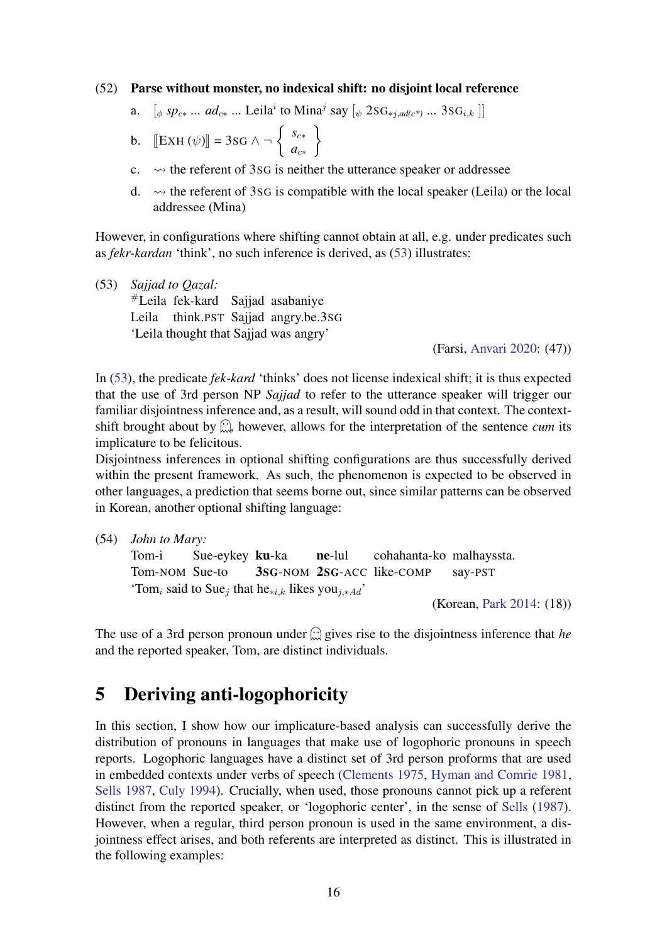#### (52) Parse without monster, no indexical shift: no disjoint local reference

a.  $[\phi \text{ } sp_{c*} \dots \text{ } ad_{c*} \dots \text{ Leila}^i \text{ to Mina}^j \text{ say } [\psi \text{ } 2SG_{*j, ad(c^*)} \dots \text{ } 3SG_{i,k}]]$ 

b. 
$$
\left[\text{EXH}(\psi)\right] = 3\text{SG} \land \neg \left\{\begin{array}{c} s_{c*} \\ a_{c*} \end{array}\right\}
$$

- c.  $\rightsquigarrow$  the referent of 3sG is neither the utterance speaker or addressee
- d.  $\sim$  the referent of 3sG is compatible with the local speaker (Leila) or the local addressee (Mina)

However, in configurations where shifting cannot obtain at all, e.g. under predicates such as *fekr-kardan* 'think', no such inference is derived, as [\(53\)](#page-13-0) illustrates:

(53) *Sajjad to Qazal:* #Leila fek-kard Sajjad asabaniye Leila think.PST Sajjad angry.be.3SG 'Leila thought that Sajjad was angry'

(Farsi, [Anvari](#page-24-3) [2020:](#page-24-3) (47))

In [\(53\)](#page-13-0), the predicate *fek-kard* 'thinks' does not license indexical shift; it is thus expected that the use of 3rd person NP *Sajjad* to refer to the utterance speaker will trigger our familiar disjointness inference and, as a result, will sound odd in that context. The contextshift brought about by  $\mathbb{C}$ , however, allows for the interpretation of the sentence *cum* its implicature to be felicitous.

Disjointness inferences in optional shifting configurations are thus successfully derived within the present framework. As such, the phenomenon is expected to be observed in other languages, a prediction that seems borne out, since similar patterns can be observed in Korean, another optional shifting language:

(54) *John to Mary:*

```
Tom-i
Tom-NOM
Sue-to
              Sue-eykey ku-ka
                           3SG-NOM
2SG-ACC
like-COMP
                                        ne-lul
                                                     cohahanta-ko
malhayssta.
                                                                      say-PST
'Tom<sub>i</sub> said to Sue<sub>j</sub> that he<sub>*i,k</sub> likes you<sub>j,*Ad</sub>'
                                                                 (Korean, Park 2014: (18))
```
The use of a 3rd person pronoun under  $\widehat{\omega}$  gives rise to the disjointness inference that *he* and the reported speaker, Tom, are distinct individuals.

# <span id="page-15-0"></span>5 Deriving anti-logophoricity

In this section, I show how our implicature-based analysis can successfully derive the distribution of pronouns in languages that make use of logophoric pronouns in speech reports. Logophoric languages have a distinct set of 3rd person proforms that are used in embedded contexts under verbs of speech [\(Clements](#page-24-4) [1975,](#page-24-4) [Hyman and Comrie](#page-25-0) [1981,](#page-25-0) [Sells](#page-27-6) [1987,](#page-27-6) [Culy](#page-24-14) [1994\)](#page-24-14). Crucially, when used, those pronouns cannot pick up a referent distinct from the reported speaker, or 'logophoric center', in the sense of [Sells](#page-27-6) [\(1987\)](#page-27-6). However, when a regular, third person pronoun is used in the same environment, a disjointness effect arises, and both referents are interpreted as distinct. This is illustrated in the following examples: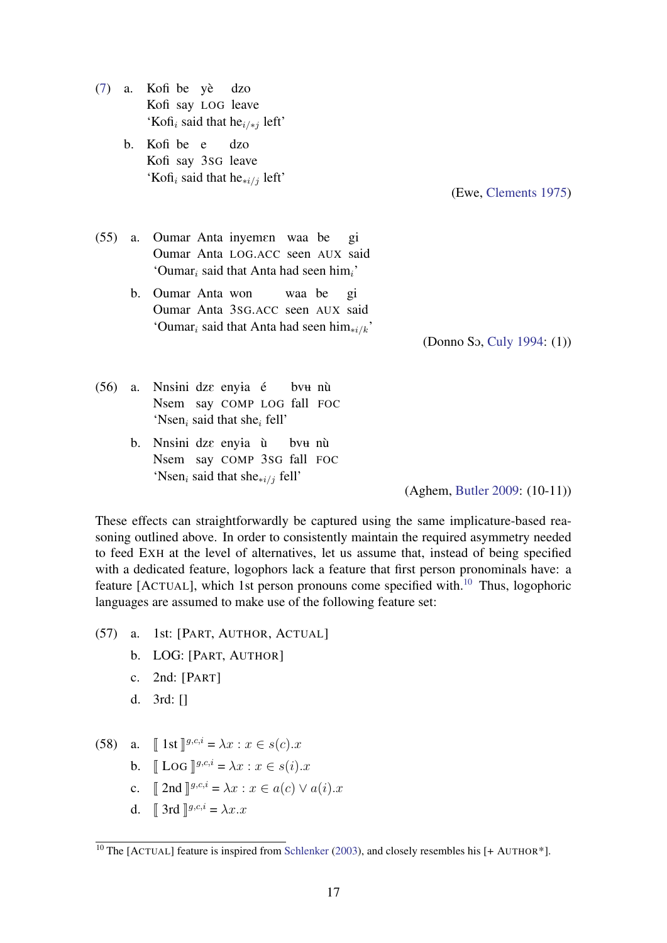- [\(7\)](#page-0-0) a. Kofi be yè Kofi say LOG leave dzo 'Kofi<sub>i</sub> said that he<sub>i/\*j</sub> left'
	- b. Kofi be e Kofi say 3SG leave dzo 'Kofi<sub>i</sub> said that he<sub>∗i/j</sub> left'

(Ewe, [Clements](#page-24-4) [1975\)](#page-24-4)

- (55) a. Oumar Anta inyemen waa be Oumar Anta LOG.ACC seen AUX said gi 'Oumar<sub>i</sub> said that Anta had seen him<sub>i</sub>'
	- b. Oumar Anta won Oumar Anta 3SG.ACC seen AUX said waa be gi 'Oumar<sub>i</sub> said that Anta had seen him<sub>\*i/k</sub>'

(Donno SO, [Culy](#page-24-14) [1994:](#page-24-14) (1))

- (56) a. Nnsini dze enyia é Nsem say COMP LOG fall FOC bv<del>u</del> nù 'Nsen<sub>i</sub> said that she<sub>i</sub> fell'
	- b. Nnsini dze enyia ù Nsem say COMP 3SG fall FOC bv<del>u</del> nù 'Nsen<sub>i</sub> said that she<sub>\*i/j</sub> fell'

(Aghem, [Butler](#page-24-15) [2009:](#page-24-15) (10-11))

These effects can straightforwardly be captured using the same implicature-based reasoning outlined above. In order to consistently maintain the required asymmetry needed to feed EXH at the level of alternatives, let us assume that, instead of being specified with a dedicated feature, logophors lack a feature that first person pronominals have: a feature [ACTUAL], which 1st person pronouns come specified with.<sup>[10](#page-0-1)</sup> Thus, logophoric languages are assumed to make use of the following feature set:

- (57) a. 1st: [PART, AUTHOR, ACTUAL]
	- b. LOG: [PART, AUTHOR]
	- c. 2nd: [PART]
	- d. 3rd: []
- (58) a.  $\llbracket 1 \text{st} \rrbracket^{g,c,i} = \lambda x : x \in s(c).x$

$$
\text{b.} \quad \llbracket \text{LOG} \rrbracket^{g,c,i} = \lambda x : x \in s(i).x
$$

- c.  $\llbracket 2nd \rrbracket^{g,c,i} = \lambda x : x \in a(c) \vee a(i).x$
- d.  $\int \int 3rd \int g^{i} \cdot c \cdot i = \lambda x \cdot x$

<sup>&</sup>lt;sup>10</sup> The [ACTUAL] feature is inspired from [Schlenker](#page-26-0) [\(2003\)](#page-26-0), and closely resembles his [+ AUTHOR<sup>\*</sup>].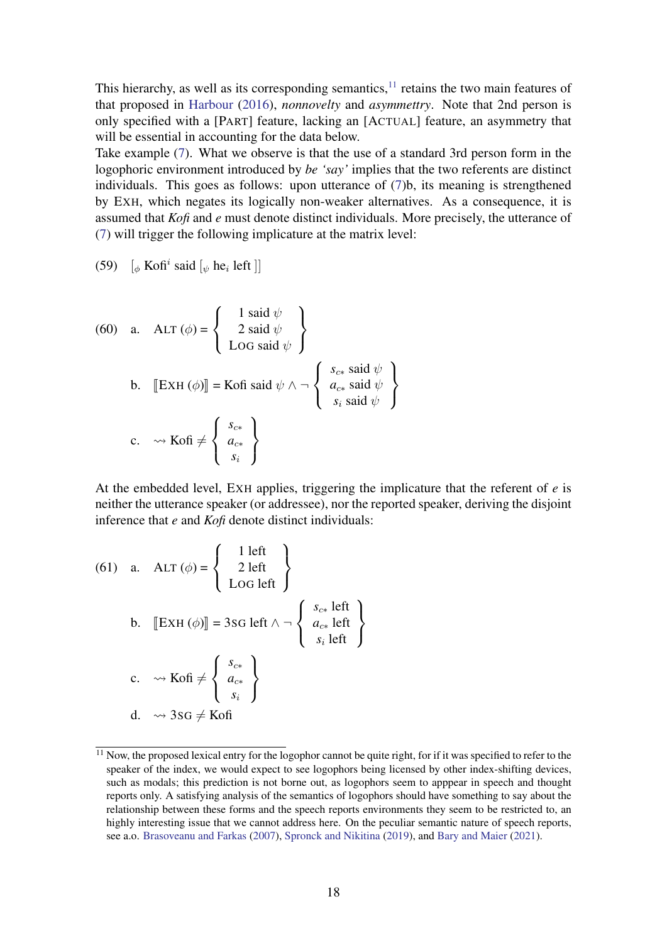This hierarchy, as well as its corresponding semantics, $11$  retains the two main features of that proposed in [Harbour](#page-25-12) [\(2016\)](#page-25-12), *nonnovelty* and *asymmettry*. Note that 2nd person is only specified with a [PART] feature, lacking an [ACTUAL] feature, an asymmetry that will be essential in accounting for the data below.

Take example [\(7\)](#page-0-0). What we observe is that the use of a standard 3rd person form in the logophoric environment introduced by *be 'say'* implies that the two referents are distinct individuals. This goes as follows: upon utterance of [\(7\)](#page-0-0)b, its meaning is strengthened by EXH, which negates its logically non-weaker alternatives. As a consequence, it is assumed that *Kofi* and *e* must denote distinct individuals. More precisely, the utterance of [\(7\)](#page-0-0) will trigger the following implicature at the matrix level:

(59)  $\left[\phi \text{ Kofi}^i \text{ said } \left[\psi \text{ he}_i \text{ left }\right]\right]$ 

(60) a. 
$$
ALT (\phi) = \begin{cases} 1 \operatorname{said} \psi \\ 2 \operatorname{said} \psi \\ Log \operatorname{said} \psi \end{cases}
$$
  
b.  $[ExH (\phi)] = K \circ f \circ id \psi \wedge \neg \begin{cases} s_{c*} \operatorname{said} \psi \\ a_{c*} \operatorname{said} \psi \\ s_i \operatorname{said} \psi \end{cases}$   
c.  $\leadsto K \circ f \neq \begin{cases} s_{c*} \\ a_{c*} \\ s_i \end{cases}$ 

At the embedded level, EXH applies, triggering the implicature that the referent of *e* is neither the utterance speaker (or addressee), nor the reported speaker, deriving the disjoint inference that *e* and *Kofi* denote distinct individuals:

(61) a. 
$$
ALT (\phi) = \begin{cases} 1 \text{ left} \\ 2 \text{ left} \\ \text{LOG left} \end{cases}
$$
  
b.  $[[EXH (\phi)]] = 3SG \text{ left } \land \neg \begin{cases} s_{c*} \text{ left} \\ a_{c*} \text{ left} \\ s_i \text{ left} \end{cases}$   
c.  $\leadsto K \text{of } i \neq \begin{cases} s_{c*} \\ a_{c*} \\ s_i \end{cases}$   
d.  $\leadsto 3SG \neq K \text{of } i$ 

 $11$  Now, the proposed lexical entry for the logophor cannot be quite right, for if it was specified to refer to the speaker of the index, we would expect to see logophors being licensed by other index-shifting devices, such as modals; this prediction is not borne out, as logophors seem to apppear in speech and thought reports only. A satisfying analysis of the semantics of logophors should have something to say about the relationship between these forms and the speech reports environments they seem to be restricted to, an highly interesting issue that we cannot address here. On the peculiar semantic nature of speech reports, see a.o. [Brasoveanu and Farkas](#page-24-16) [\(2007\)](#page-24-16), [Spronck and Nikitina](#page-27-7) [\(2019\)](#page-27-7), and [Bary and Maier](#page-24-17) [\(2021\)](#page-24-17).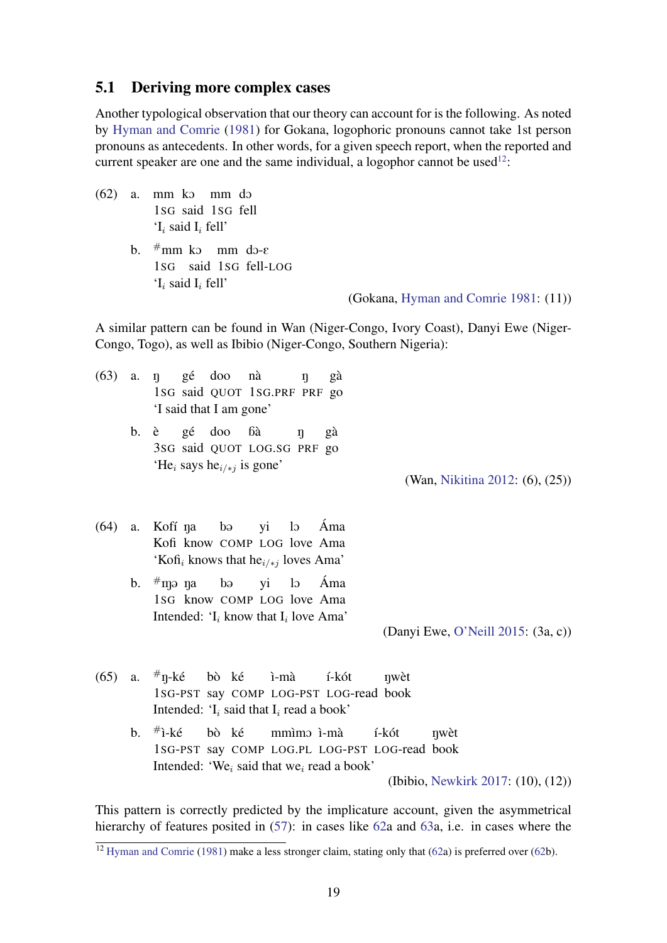### <span id="page-18-0"></span>5.1 Deriving more complex cases

Another typological observation that our theory can account for is the following. As noted by [Hyman and Comrie](#page-25-0) [\(1981\)](#page-25-0) for Gokana, logophoric pronouns cannot take 1st person pronouns as antecedents. In other words, for a given speech report, when the reported and current speaker are one and the same individual, a logophor cannot be used<sup>[12](#page-0-1)</sup>:

- $(62)$  a. mm ko mm do 1SG said 1SG fell  $I_i$  said  $I_i$  fell'
	- b.  $\#$ mm ko mm do-e 1SG said 1SG fell-LOG  $\mathbf{I}_i$  said  $\mathbf{I}_i$  fell'

(Gokana, [Hyman and Comrie](#page-25-0) [1981:](#page-25-0) (11))

A similar pattern can be found in Wan (Niger-Congo, Ivory Coast), Danyi Ewe (Niger-Congo, Togo), as well as Ibibio (Niger-Congo, Southern Nigeria):

- $(63)$  a. n 1SG said QUOT 1SG.PRF PRF go gé doo nà N gà 'I said that I am gone'
	- b. è 3SG said QUOT LOG.SG PRF go gé doo áà N gà 'He<sub>i</sub> says he<sub>i/\*j</sub> is gone'

(Wan, [Nikitina](#page-26-1) [2012:](#page-26-1) (6), (25))

- $(64)$  a. Kofi know COMP LOG love Ama Kofí na  $b\alpha$ yi  $\overline{a}$ Áma 'Kofi<sub>i</sub> knows that he<sub>i/\*j</sub> loves Ama'
	- b.  $\#$ njə nja 1SG know COMP LOG love Ama  $b\Theta$ yi  $\overline{a}$ Áma Intended: ' $I_i$  know that  $I_i$  love Ama'

(Danyi Ewe, [O'Neill](#page-26-15) [2015:](#page-26-15) (3a, c))

- (65) a.  $\#_{\Pi}$ -ké 1SG-PST say COMP LOG-PST LOG-read book bò ké ì-mà í-kót Nwèt Intended: ' $I_i$  said that  $I_i$  read a book'
	- b.  $#i-k$ é 1SG-PST say COMP LOG.PL LOG-PST LOG-read book bò ké mmìmo ì-mà í-kót Nwèt Intended: 'We<sub>i</sub> said that we<sub>i</sub> read a book' (Ibibio, [Newkirk](#page-26-16) [2017:](#page-26-16) (10), (12))

This pattern is correctly predicted by the implicature account, given the asymmetrical hierarchy of features posited in [\(57\)](#page-15-0): in cases like [62a](#page-18-0) and [63a](#page-18-0), i.e. in cases where the

<sup>&</sup>lt;sup>12</sup> [Hyman and Comrie](#page-25-0) [\(1981\)](#page-25-0) make a less stronger claim, stating only that [\(62a](#page-18-0)) is preferred over [\(62b](#page-18-0)).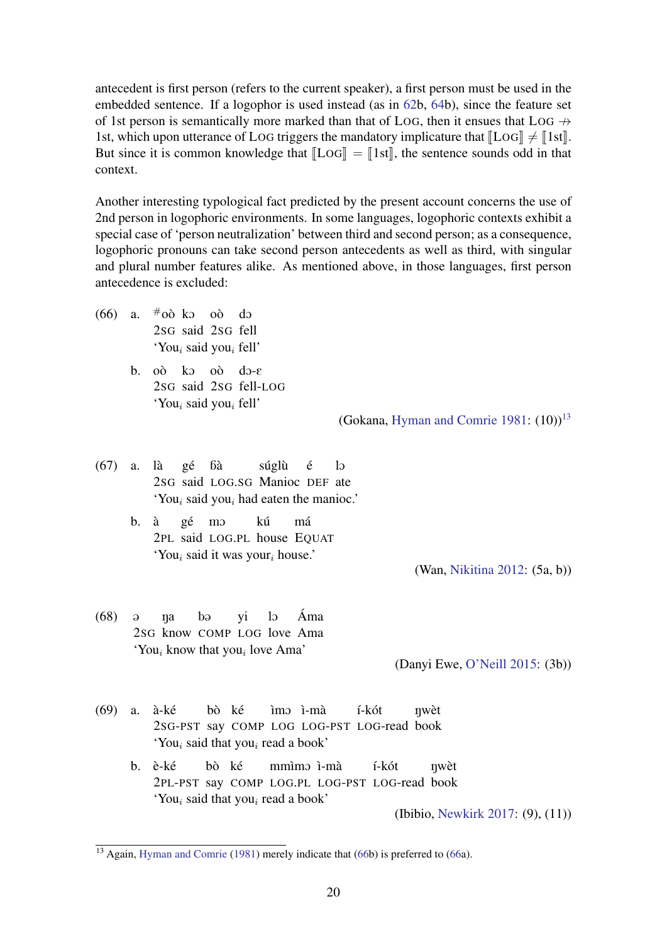antecedent is first person (refers to the current speaker), a first person must be used in the embedded sentence. If a logophor is used instead (as in [62b](#page-18-0), [64b](#page-18-0)), since the feature set of 1st person is semantically more marked than that of LOG, then it ensues that LOG  $\rightarrow$ 1st, which upon utterance of LOG triggers the mandatory implicature that  $\llbracket$ LOG $\rrbracket \neq \llbracket$ 1st $\rrbracket$ . But since it is common knowledge that  $\mathbb{L}\text{OG}$  =  $\mathbb{I}$  1st, the sentence sounds odd in that context.

Another interesting typological fact predicted by the present account concerns the use of 2nd person in logophoric environments. In some languages, logophoric contexts exhibit a special case of 'person neutralization' between third and second person; as a consequence, logophoric pronouns can take second person antecedents as well as third, with singular and plural number features alike. As mentioned above, in those languages, first person antecedence is excluded:

- (66) a.  $\#$ oò ko oò do 2SG said 2SG fell 'You<sub>i</sub> said you<sub>i</sub> fell'
	- b. oò ko oò do-e 2SG said 2SG fell-LOG 'You<sub>i</sub> said you<sub>i</sub> fell'

(Gokana, [Hyman and Comrie](#page-25-0) [1981:](#page-25-0)  $(10)^{13}$  $(10)^{13}$  $(10)^{13}$ 

(67) a. là 2SG said LOG.SG Manioc DEF ate gé áà súglù é  $\overline{a}$ 'You<sub>i</sub> said you<sub>i</sub> had eaten the manioc.'

> b. à 2PL said LOG.PL house EQUAT gé mO kú má 'You<sub>i</sub> said it was your<sub>i</sub> house.'

> > (Wan, [Nikitina](#page-26-1) [2012:](#page-26-1) (5a, b))

 $(68)$  a 2SG know COMP LOG love Ama n<sub>a</sub>  $b\Theta$ yi  $\overline{a}$ Áma 'You<sub>i</sub> know that you<sub>i</sub> love Ama'

(Danyi Ewe, [O'Neill](#page-26-15) [2015:](#page-26-15) (3b))

- (69) a. à-ké 2SG-PST say COMP LOG LOG-PST LOG-read book bò ké ìmɔ ì-mà í-kót nwèt 'You<sub>i</sub> said that you<sub>i</sub> read a book'
	- b. è-ké 2PL-PST say COMP LOG.PL LOG-PST LOG-read book bò ké mmìmo ì-mà í-kót Nwèt 'You<sub>i</sub> said that you<sub>i</sub> read a book'

(Ibibio, [Newkirk](#page-26-16) [2017:](#page-26-16) (9), (11))

 $\frac{13}{13}$  Again, [Hyman and Comrie](#page-25-0) [\(1981\)](#page-25-0) merely indicate that [\(66b](#page-18-0)) is preferred to [\(66a](#page-18-0)).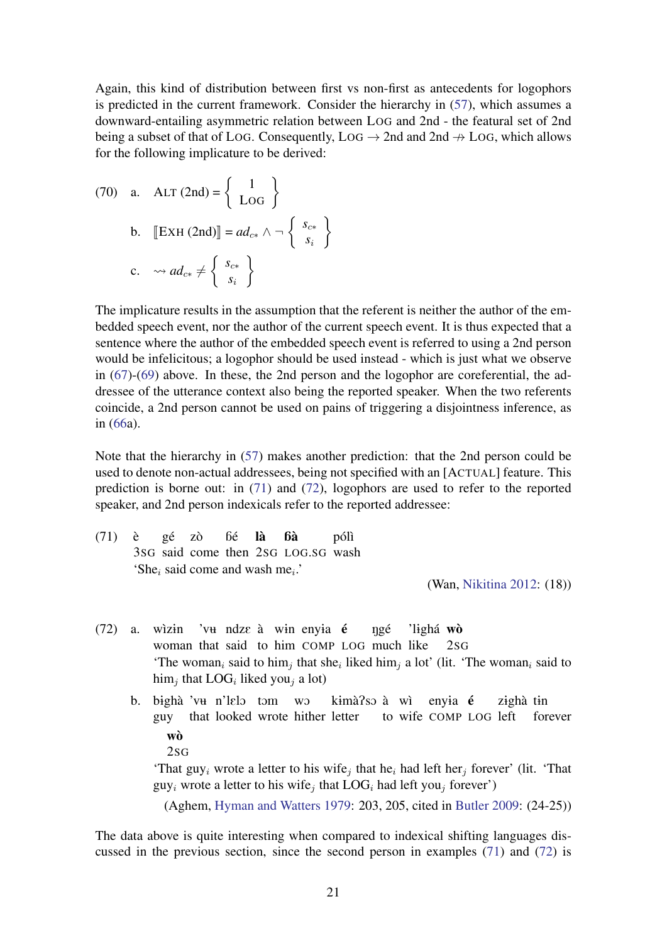Again, this kind of distribution between first vs non-first as antecedents for logophors is predicted in the current framework. Consider the hierarchy in [\(57\)](#page-15-0), which assumes a downward-entailing asymmetric relation between LOG and 2nd - the featural set of 2nd being a subset of that of LOG. Consequently,  $Log \rightarrow 2nd$  and  $2nd \rightarrow LOG$ , which allows for the following implicature to be derived:

(70) a. 
$$
ALT(2nd) = \begin{Bmatrix} 1 \\ Log \end{Bmatrix}
$$
  
b.  $[ExH(2nd)] = ad_{c*} \wedge \neg \begin{Bmatrix} s_{c*} \\ s_i \end{Bmatrix}$   
c.  $\leadsto ad_{c*} \neq \begin{Bmatrix} s_{c*} \\ s_i \end{Bmatrix}$ 

The implicature results in the assumption that the referent is neither the author of the embedded speech event, nor the author of the current speech event. It is thus expected that a sentence where the author of the embedded speech event is referred to using a 2nd person would be infelicitous; a logophor should be used instead - which is just what we observe in [\(67\)](#page-18-0)-[\(69\)](#page-18-0) above. In these, the 2nd person and the logophor are coreferential, the addressee of the utterance context also being the reported speaker. When the two referents coincide, a 2nd person cannot be used on pains of triggering a disjointness inference, as in [\(66a](#page-18-0)).

Note that the hierarchy in [\(57\)](#page-15-0) makes another prediction: that the 2nd person could be used to denote non-actual addressees, being not specified with an [ACTUAL] feature. This prediction is borne out: in [\(71\)](#page-18-0) and [\(72\)](#page-18-0), logophors are used to refer to the reported speaker, and 2nd person indexicals refer to the reported addressee:

(71) è 3SG said come then 2SG LOG.SG wash gé zò áé là áà pólì 'She<sub>i</sub> said come and wash me<sub>i</sub>.'

- $(72)$  a. wizin woman that said to him COMP LOG much like 'vu ndze à win enyia é ngé 'lighá wò  $2$ SG 'The woman<sub>i</sub> said to him<sub>j</sub> that she<sub>i</sub> liked him<sub>j</sub> a lot' (lit. 'The woman<sub>i</sub> said to him<sub>j</sub> that LOG<sub>i</sub> liked you<sub>j</sub> a lot)
	- b. bighà 'vu n'lelo tom wo guy that looked wrote hither letter k<del>i</del>mà?sɔ à wì to wife COMP LOG left enyia é zighà tin forever wò 2SG

'That guy<sub>i</sub> wrote a letter to his wife<sub>j</sub> that he<sub>i</sub> had left her<sub>j</sub> forever' (lit. 'That  $guy_i$  wrote a letter to his wife<sub>j</sub> that  $LOG_i$  had left you<sub>j</sub> forever')

(Aghem, [Hyman and Watters](#page-25-15) [1979:](#page-25-15) 203, 205, cited in [Butler](#page-24-15) [2009:](#page-24-15) (24-25))

The data above is quite interesting when compared to indexical shifting languages discussed in the previous section, since the second person in examples [\(71\)](#page-18-0) and [\(72\)](#page-18-0) is

<sup>(</sup>Wan, [Nikitina](#page-26-1) [2012:](#page-26-1) (18))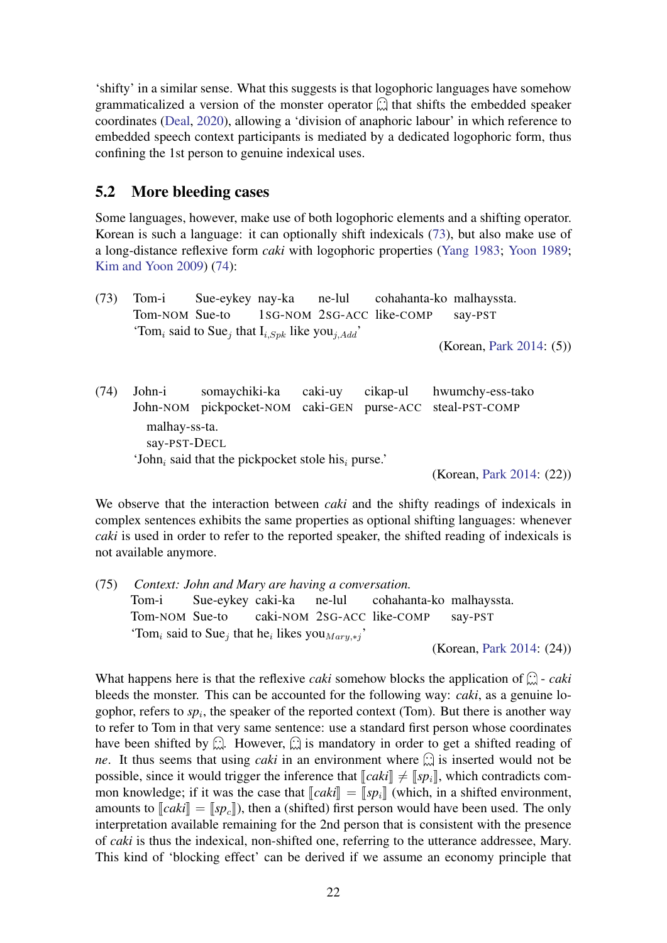'shifty' in a similar sense. What this suggests is that logophoric languages have somehow grammaticalized a version of the monster operator  $\hat{\omega}$  that shifts the embedded speaker coordinates [\(Deal,](#page-24-0) [2020\)](#page-24-0), allowing a 'division of anaphoric labour' in which reference to embedded speech context participants is mediated by a dedicated logophoric form, thus confining the 1st person to genuine indexical uses.

### <span id="page-21-0"></span>5.2 More bleeding cases

Some languages, however, make use of both logophoric elements and a shifting operator. Korean is such a language: it can optionally shift indexicals [\(73\)](#page-21-0), but also make use of a long-distance reflexive form *caki* with logophoric properties [\(Yang](#page-27-8) [1983;](#page-27-8) [Yoon](#page-27-9) [1989;](#page-27-9) [Kim and Yoon](#page-25-16) [2009\)](#page-25-16) [\(74\)](#page-21-0):

(73) Tom-i Tom-NOM Sue-to Sue-eykey nay-ka 1SG-NOM 2SG-ACC like-COMP ne-lul cohahanta-ko malhayssta. say-PST 'Tom<sub>i</sub> said to Sue<sub>j</sub> that  $I_{i, Spk}$  like you<sub>j,Add</sub>'

(Korean, [Park](#page-26-14) [2014:](#page-26-14) (5))

(74) John-i John-NOM pickpocket-NOM caki-GEN somaychiki-ka caki-uy cikap-ul purse-ACC hwumchy-ess-tako steal-PST-COMP malhay-ss-ta. say-PST-DECL 'John<sub>i</sub> said that the pickpocket stole his<sub>i</sub> purse.'

(Korean, [Park](#page-26-14) [2014:](#page-26-14) (22))

We observe that the interaction between *caki* and the shifty readings of indexicals in complex sentences exhibits the same properties as optional shifting languages: whenever *caki* is used in order to refer to the reported speaker, the shifted reading of indexicals is not available anymore.

(75) *Context: John and Mary are having a conversation.* Tom-i Tom-NOM Sue-to Sue-eykey caki-ka caki-NOM 2SG-ACC like-COMP ne-lul cohahanta-ko malhayssta. say-PST 'Tom<sub>i</sub> said to Sue<sub>j</sub> that he<sub>i</sub> likes you<sub>Mary,\*j</sub>'

(Korean, [Park](#page-26-14) [2014:](#page-26-14) (24))

What happens here is that the reflexive *caki* somehow blocks the application of  $\widehat{\omega}$  - *caki* bleeds the monster. This can be accounted for the following way: *caki*, as a genuine logophor, refers to  $sp_i$ , the speaker of the reported context (Tom). But there is another way to refer to Tom in that very same sentence: use a standard first person whose coordinates have been shifted by  $\mathbb{Q}$ . However,  $\mathbb{Q}$  is mandatory in order to get a shifted reading of *ne*. It thus seems that using *caki* in an environment where  $\hat{\omega}$  is inserted would not be possible, since it would trigger the inference that  $\llbracket caki \rrbracket \neq \llbracket s p_i \rrbracket$ , which contradicts common knowledge; if it was the case that  $\llbracket caki \rrbracket = \llbracket sp_i \rrbracket$  (which, in a shifted environment, amounts to  $\llbracket caki \rrbracket = \llbracket s p_c \rrbracket$ ), then a (shifted) first person would have been used. The only interpretation available remaining for the 2nd person that is consistent with the presence of *caki* is thus the indexical, non-shifted one, referring to the utterance addressee, Mary. This kind of 'blocking effect' can be derived if we assume an economy principle that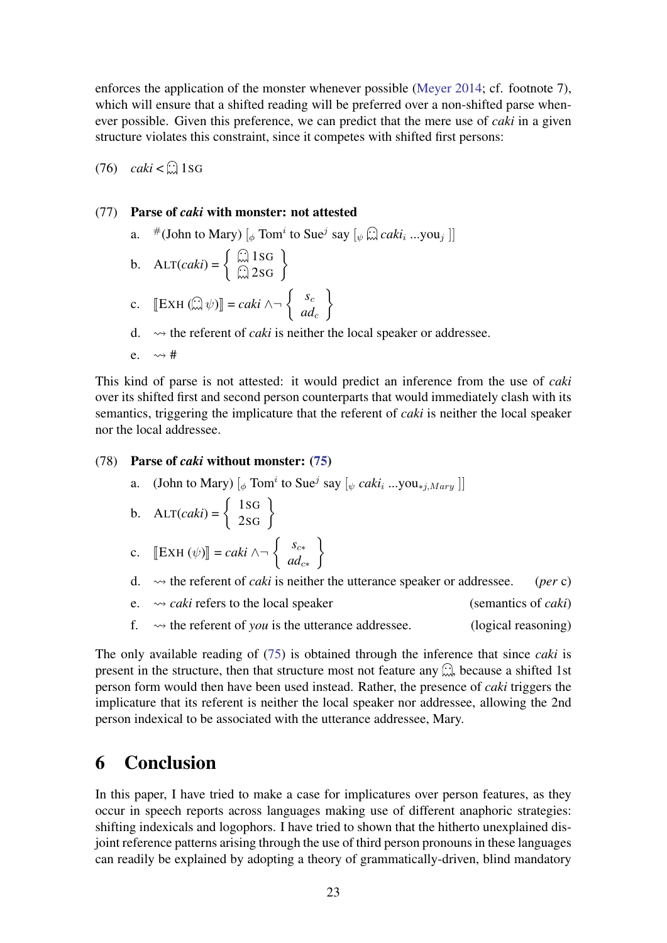enforces the application of the monster whenever possible [\(Meyer](#page-26-9) [2014;](#page-26-9) cf. footnote 7), which will ensure that a shifted reading will be preferred over a non-shifted parse whenever possible. Given this preference, we can predict that the mere use of *caki* in a given structure violates this constraint, since it competes with shifted first persons:

 $(76)$  *caki* < 1sG

#### (77) Parse of *caki* with monster: not attested

a.  $\#(\text{John to Mary}) \left[ \phi \text{ Tom}^i \text{ to Sue}^j \text{ say } \left[ \phi \text{ in } \text{caki}_i \text{ ...you}_j \right] \right]$ 

b. 
$$
\text{ALT}(caki) = \left\{ \begin{array}{c} \text{(1)} & 1 \text{SG} \\ \text{(2)} & 2 \text{SG} \end{array} \right\}
$$
  
c.  $\left[ \text{EXH} \left( \begin{array}{c} \text{(2)} & \text{(3)} \text{G} \end{array} \right) \right] = caki \land \neg \left\{ \begin{array}{c} s_c \\ ad_c \end{array} \right\}$ 

d.  $\rightarrow$  the referent of *caki* is neither the local speaker or addressee.

 $\mathcal{L}$ 

e.  $\rightsquigarrow$  #

This kind of parse is not attested: it would predict an inference from the use of *caki* over its shifted first and second person counterparts that would immediately clash with its semantics, triggering the implicature that the referent of *caki* is neither the local speaker nor the local addressee.

#### (78) Parse of *caki* without monster: [\(75\)](#page-21-0)

a. (John to Mary)  $\left[\phi \text{ Tom}^i \text{ to Sue}^j \text{ say } \left[\phi \text{ caki}_i ... \text{you}_{\neq j, Mary} \right]\right]$ 

b. 
$$
ALT(caki) = \begin{cases} 1SG \\ 2SG \end{cases}
$$

c. 
$$
\left[\text{EXH } (\psi) \right] = caki \land \neg \left\{ \begin{array}{c} s_{c*} \\ ad_{c*} \end{array} \right\}
$$

- d.  $\rightarrow$  the referent of *caki* is neither the utterance speaker or addressee. (*per* c)
- e. *caki* refers to the local speaker (semantics of *caki*)
- f.  $\rightsquigarrow$  the referent of *you* is the utterance addressee. (logical reasoning)

The only available reading of [\(75\)](#page-21-0) is obtained through the inference that since *caki* is present in the structure, then that structure most not feature any  $\mathbb{C}$ , because a shifted 1st person form would then have been used instead. Rather, the presence of *caki* triggers the implicature that its referent is neither the local speaker nor addressee, allowing the 2nd person indexical to be associated with the utterance addressee, Mary.

# 6 Conclusion

In this paper, I have tried to make a case for implicatures over person features, as they occur in speech reports across languages making use of different anaphoric strategies: shifting indexicals and logophors. I have tried to shown that the hitherto unexplained disjoint reference patterns arising through the use of third person pronouns in these languages can readily be explained by adopting a theory of grammatically-driven, blind mandatory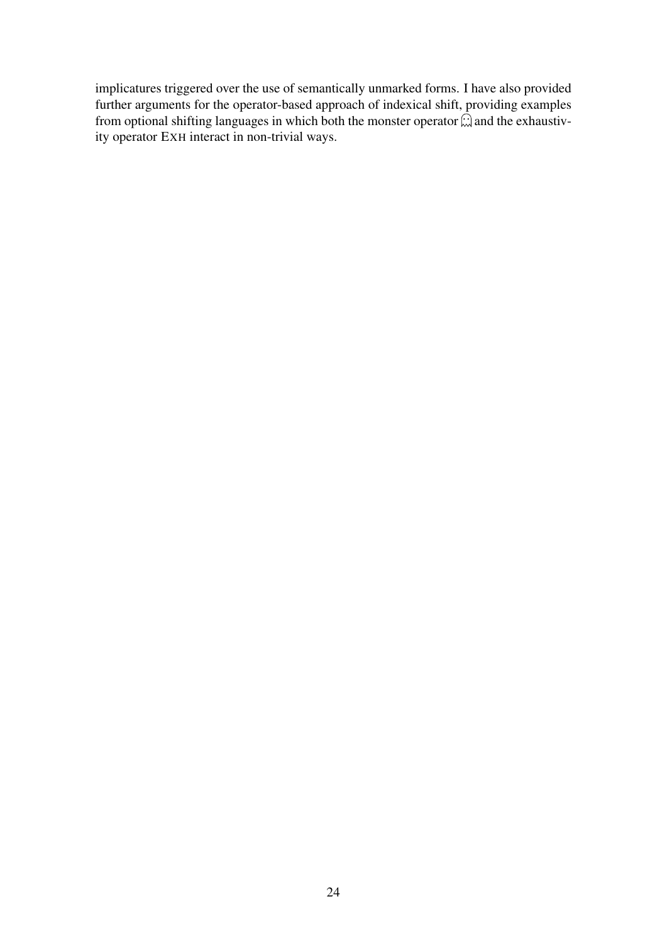implicatures triggered over the use of semantically unmarked forms. I have also provided further arguments for the operator-based approach of indexical shift, providing examples from optional shifting languages in which both the monster operator  $\hat{w}$  and the exhaustivity operator EXH interact in non-trivial ways.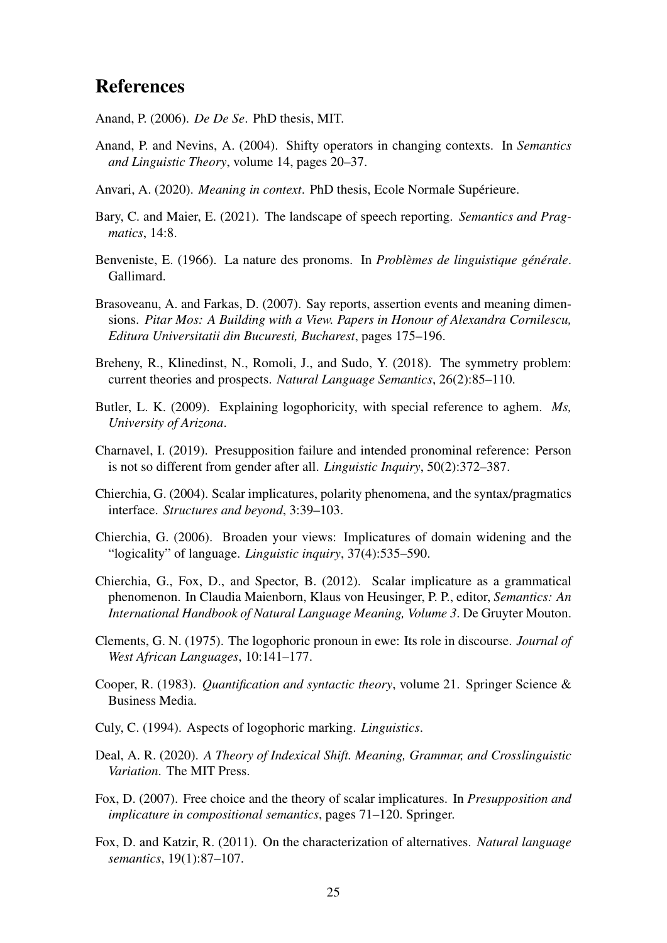# References

- <span id="page-24-2"></span>Anand, P. (2006). *De De Se*. PhD thesis, MIT.
- <span id="page-24-1"></span>Anand, P. and Nevins, A. (2004). Shifty operators in changing contexts. In *Semantics and Linguistic Theory*, volume 14, pages 20–37.
- <span id="page-24-3"></span>Anvari, A. (2020). *Meaning in context*. PhD thesis, Ecole Normale Supérieure.
- <span id="page-24-17"></span>Bary, C. and Maier, E. (2021). The landscape of speech reporting. *Semantics and Pragmatics*, 14:8.
- <span id="page-24-11"></span>Benveniste, E. (1966). La nature des pronoms. In *Problèmes de linguistique générale*. Gallimard.
- <span id="page-24-16"></span>Brasoveanu, A. and Farkas, D. (2007). Say reports, assertion events and meaning dimensions. *Pitar Mos: A Building with a View. Papers in Honour of Alexandra Cornilescu, Editura Universitatii din Bucuresti, Bucharest*, pages 175–196.
- <span id="page-24-10"></span>Breheny, R., Klinedinst, N., Romoli, J., and Sudo, Y. (2018). The symmetry problem: current theories and prospects. *Natural Language Semantics*, 26(2):85–110.
- <span id="page-24-15"></span>Butler, L. K. (2009). Explaining logophoricity, with special reference to aghem. *Ms, University of Arizona*.
- <span id="page-24-13"></span>Charnavel, I. (2019). Presupposition failure and intended pronominal reference: Person is not so different from gender after all. *Linguistic Inquiry*, 50(2):372–387.
- <span id="page-24-8"></span>Chierchia, G. (2004). Scalar implicatures, polarity phenomena, and the syntax/pragmatics interface. *Structures and beyond*, 3:39–103.
- <span id="page-24-5"></span>Chierchia, G. (2006). Broaden your views: Implicatures of domain widening and the "logicality" of language. *Linguistic inquiry*, 37(4):535–590.
- <span id="page-24-7"></span>Chierchia, G., Fox, D., and Spector, B. (2012). Scalar implicature as a grammatical phenomenon. In Claudia Maienborn, Klaus von Heusinger, P. P., editor, *Semantics: An International Handbook of Natural Language Meaning, Volume 3*. De Gruyter Mouton.
- <span id="page-24-4"></span>Clements, G. N. (1975). The logophoric pronoun in ewe: Its role in discourse. *Journal of West African Languages*, 10:141–177.
- <span id="page-24-12"></span>Cooper, R. (1983). *Quantification and syntactic theory*, volume 21. Springer Science & Business Media.
- <span id="page-24-14"></span>Culy, C. (1994). Aspects of logophoric marking. *Linguistics*.
- <span id="page-24-0"></span>Deal, A. R. (2020). *A Theory of Indexical Shift. Meaning, Grammar, and Crosslinguistic Variation*. The MIT Press.
- <span id="page-24-6"></span>Fox, D. (2007). Free choice and the theory of scalar implicatures. In *Presupposition and implicature in compositional semantics*, pages 71–120. Springer.
- <span id="page-24-9"></span>Fox, D. and Katzir, R. (2011). On the characterization of alternatives. *Natural language semantics*, 19(1):87–107.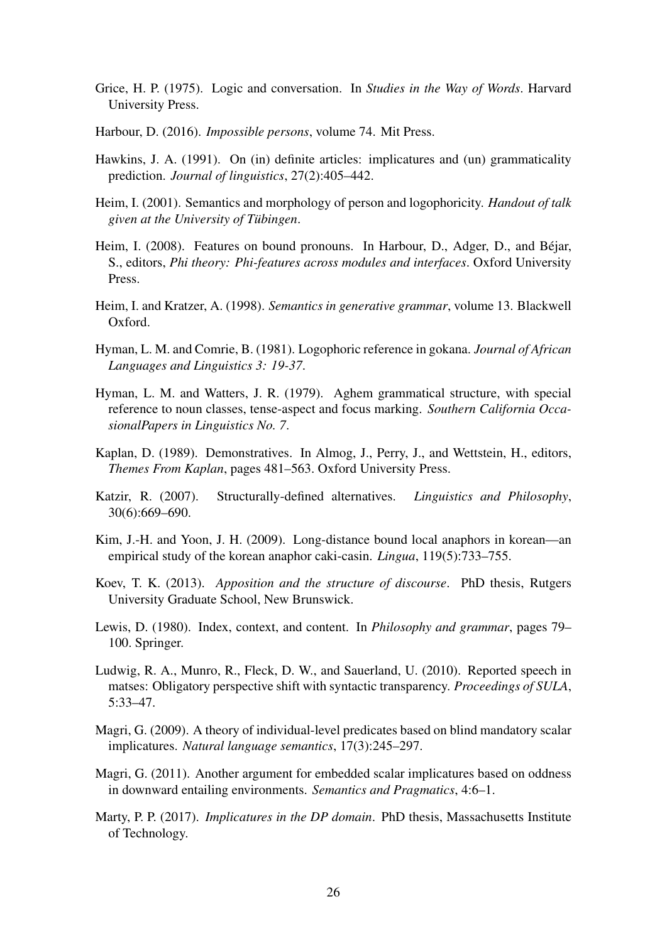- <span id="page-25-8"></span>Grice, H. P. (1975). Logic and conversation. In *Studies in the Way of Words*. Harvard University Press.
- <span id="page-25-12"></span>Harbour, D. (2016). *Impossible persons*, volume 74. Mit Press.
- <span id="page-25-9"></span>Hawkins, J. A. (1991). On (in) definite articles: implicatures and (un) grammaticality prediction. *Journal of linguistics*, 27(2):405–442.
- <span id="page-25-10"></span>Heim, I. (2001). Semantics and morphology of person and logophoricity. *Handout of talk given at the University of Tübingen*.
- <span id="page-25-13"></span>Heim, I. (2008). Features on bound pronouns. In Harbour, D., Adger, D., and Béjar, S., editors, *Phi theory: Phi-features across modules and interfaces*. Oxford University Press.
- <span id="page-25-14"></span>Heim, I. and Kratzer, A. (1998). *Semantics in generative grammar*, volume 13. Blackwell Oxford.
- <span id="page-25-0"></span>Hyman, L. M. and Comrie, B. (1981). Logophoric reference in gokana. *Journal of African Languages and Linguistics 3: 19-37*.
- <span id="page-25-15"></span>Hyman, L. M. and Watters, J. R. (1979). Aghem grammatical structure, with special reference to noun classes, tense-aspect and focus marking. *Southern California OccasionalPapers in Linguistics No. 7*.
- <span id="page-25-2"></span>Kaplan, D. (1989). Demonstratives. In Almog, J., Perry, J., and Wettstein, H., editors, *Themes From Kaplan*, pages 481–563. Oxford University Press.
- <span id="page-25-11"></span>Katzir, R. (2007). Structurally-defined alternatives. *Linguistics and Philosophy*, 30(6):669–690.
- <span id="page-25-16"></span>Kim, J.-H. and Yoon, J. H. (2009). Long-distance bound local anaphors in korean—an empirical study of the korean anaphor caki-casin. *Lingua*, 119(5):733–755.
- <span id="page-25-7"></span>Koev, T. K. (2013). *Apposition and the structure of discourse*. PhD thesis, Rutgers University Graduate School, New Brunswick.
- <span id="page-25-6"></span>Lewis, D. (1980). Index, context, and content. In *Philosophy and grammar*, pages 79– 100. Springer.
- <span id="page-25-3"></span>Ludwig, R. A., Munro, R., Fleck, D. W., and Sauerland, U. (2010). Reported speech in matses: Obligatory perspective shift with syntactic transparency. *Proceedings of SULA*, 5:33–47.
- <span id="page-25-5"></span>Magri, G. (2009). A theory of individual-level predicates based on blind mandatory scalar implicatures. *Natural language semantics*, 17(3):245–297.
- <span id="page-25-4"></span>Magri, G. (2011). Another argument for embedded scalar implicatures based on oddness in downward entailing environments. *Semantics and Pragmatics*, 4:6–1.
- <span id="page-25-1"></span>Marty, P. P. (2017). *Implicatures in the DP domain*. PhD thesis, Massachusetts Institute of Technology.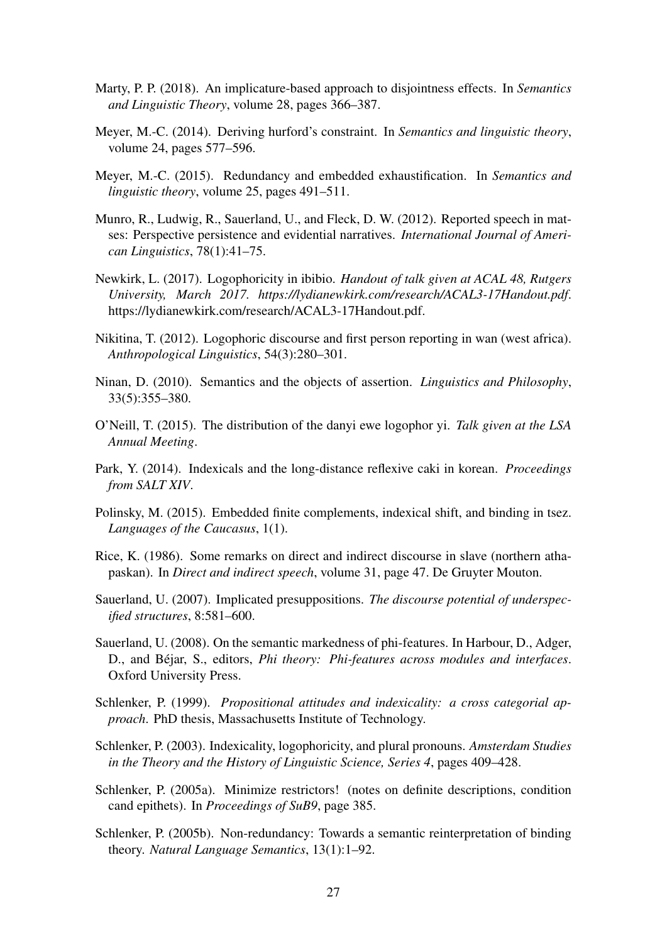- <span id="page-26-6"></span>Marty, P. P. (2018). An implicature-based approach to disjointness effects. In *Semantics and Linguistic Theory*, volume 28, pages 366–387.
- <span id="page-26-9"></span>Meyer, M.-C. (2014). Deriving hurford's constraint. In *Semantics and linguistic theory*, volume 24, pages 577–596.
- <span id="page-26-10"></span>Meyer, M.-C. (2015). Redundancy and embedded exhaustification. In *Semantics and linguistic theory*, volume 25, pages 491–511.
- <span id="page-26-5"></span>Munro, R., Ludwig, R., Sauerland, U., and Fleck, D. W. (2012). Reported speech in matses: Perspective persistence and evidential narratives. *International Journal of American Linguistics*, 78(1):41–75.
- <span id="page-26-16"></span>Newkirk, L. (2017). Logophoricity in ibibio. *Handout of talk given at ACAL 48, Rutgers University, March 2017. https://lydianewkirk.com/research/ACAL3-17Handout.pdf*. https://lydianewkirk.com/research/ACAL3-17Handout.pdf.
- <span id="page-26-1"></span>Nikitina, T. (2012). Logophoric discourse and first person reporting in wan (west africa). *Anthropological Linguistics*, 54(3):280–301.
- <span id="page-26-7"></span>Ninan, D. (2010). Semantics and the objects of assertion. *Linguistics and Philosophy*, 33(5):355–380.
- <span id="page-26-15"></span>O'Neill, T. (2015). The distribution of the danyi ewe logophor yi. *Talk given at the LSA Annual Meeting*.
- <span id="page-26-14"></span>Park, Y. (2014). Indexicals and the long-distance reflexive caki in korean. *Proceedings from SALT XIV*.
- <span id="page-26-13"></span>Polinsky, M. (2015). Embedded finite complements, indexical shift, and binding in tsez. *Languages of the Caucasus*, 1(1).
- <span id="page-26-4"></span>Rice, K. (1986). Some remarks on direct and indirect discourse in slave (northern athapaskan). In *Direct and indirect speech*, volume 31, page 47. De Gruyter Mouton.
- <span id="page-26-2"></span>Sauerland, U. (2007). Implicated presuppositions. *The discourse potential of underspecified structures*, 8:581–600.
- <span id="page-26-8"></span>Sauerland, U. (2008). On the semantic markedness of phi-features. In Harbour, D., Adger, D., and Béjar, S., editors, *Phi theory: Phi-features across modules and interfaces*. Oxford University Press.
- <span id="page-26-3"></span>Schlenker, P. (1999). *Propositional attitudes and indexicality: a cross categorial approach*. PhD thesis, Massachusetts Institute of Technology.
- <span id="page-26-0"></span>Schlenker, P. (2003). Indexicality, logophoricity, and plural pronouns. *Amsterdam Studies in the Theory and the History of Linguistic Science, Series 4*, pages 409–428.
- <span id="page-26-11"></span>Schlenker, P. (2005a). Minimize restrictors! (notes on definite descriptions, condition cand epithets). In *Proceedings of SuB9*, page 385.
- <span id="page-26-12"></span>Schlenker, P. (2005b). Non-redundancy: Towards a semantic reinterpretation of binding theory. *Natural Language Semantics*, 13(1):1–92.